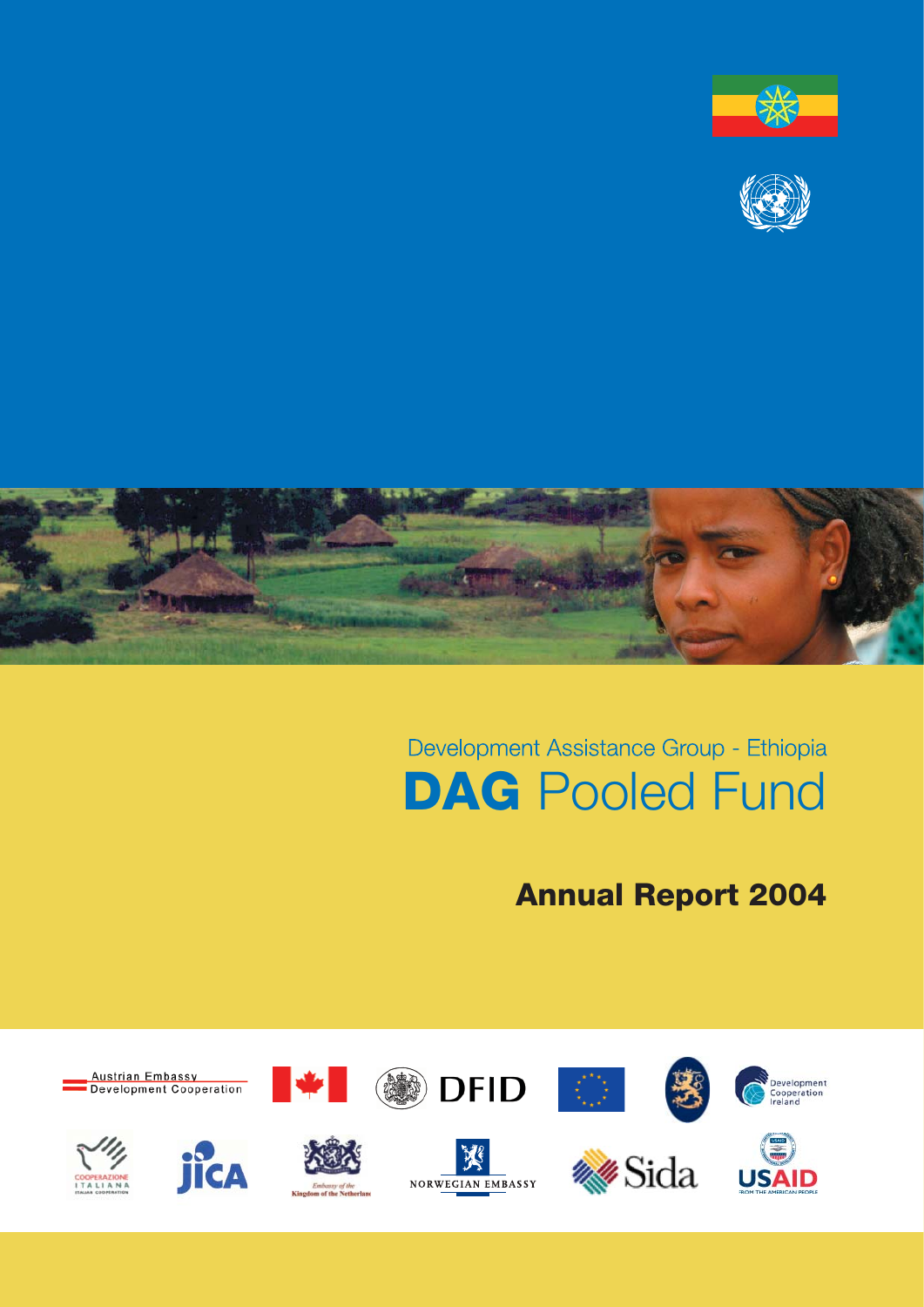





# Development Assistance Group - Ethiopia **DAG** Pooled Fund

## **Annual Report 2004**

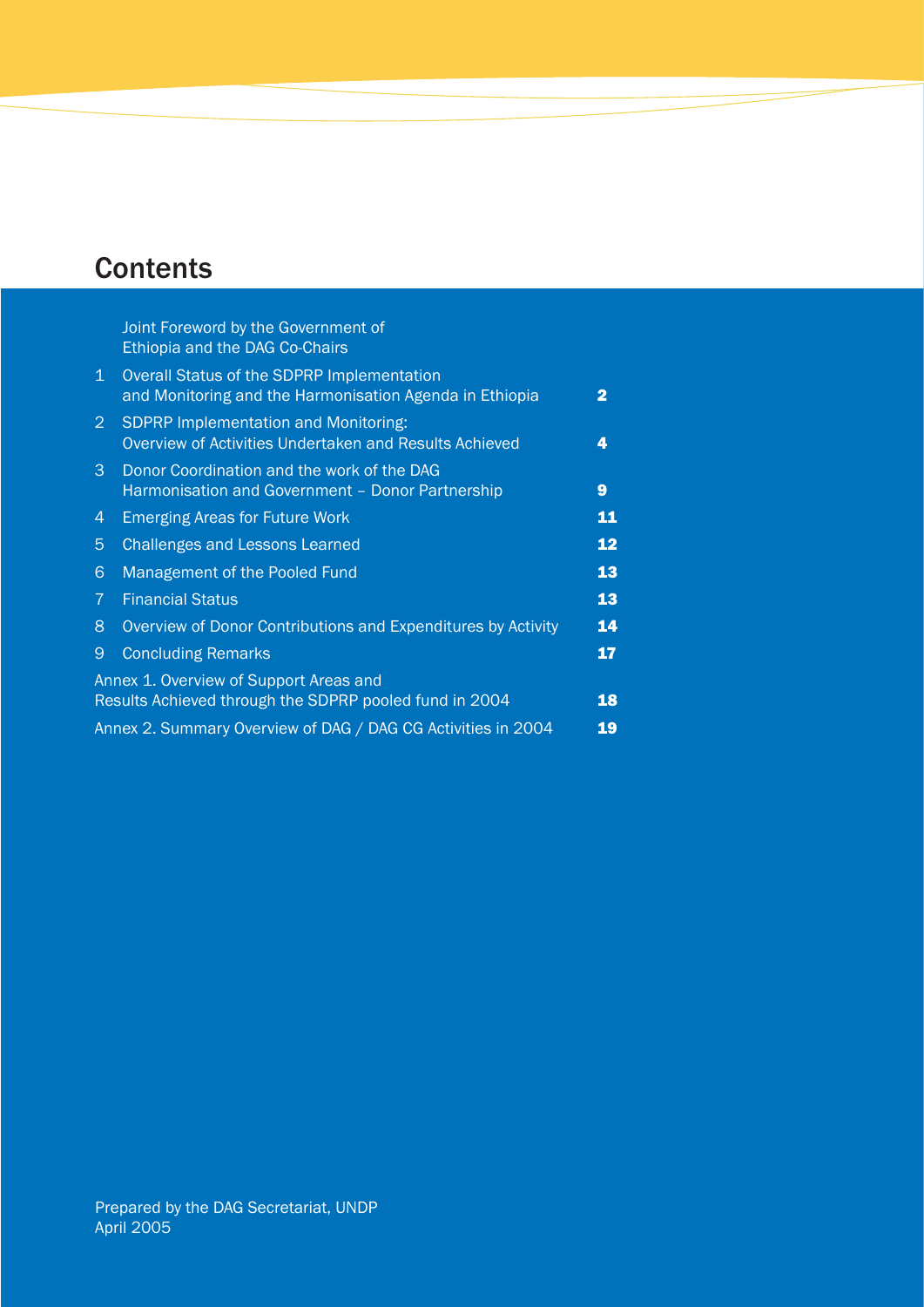## **Contents**

|                | Joint Foreword by the Government of<br>Ethiopia and the DAG Co-Chairs                                 |    |
|----------------|-------------------------------------------------------------------------------------------------------|----|
| $\mathbf{1}$   | Overall Status of the SDPRP Implementation<br>and Monitoring and the Harmonisation Agenda in Ethiopia | 2  |
| $\overline{2}$ | <b>SDPRP Implementation and Monitoring:</b><br>Overview of Activities Undertaken and Results Achieved | 4  |
| 3              | Donor Coordination and the work of the DAG<br>Harmonisation and Government - Donor Partnership        | 9  |
| 4              | <b>Emerging Areas for Future Work</b>                                                                 | 11 |
| $\overline{5}$ | <b>Challenges and Lessons Learned</b>                                                                 | 12 |
| $6\phantom{1}$ | Management of the Pooled Fund                                                                         | 13 |
| $\overline{7}$ | <b>Financial Status</b>                                                                               | 13 |
| 8              | Overview of Donor Contributions and Expenditures by Activity                                          | 14 |
| 9              | <b>Concluding Remarks</b>                                                                             | 17 |
|                | Annex 1. Overview of Support Areas and<br>Results Achieved through the SDPRP pooled fund in 2004      | 18 |
|                | Annex 2. Summary Overview of DAG / DAG CG Activities in 2004                                          | 19 |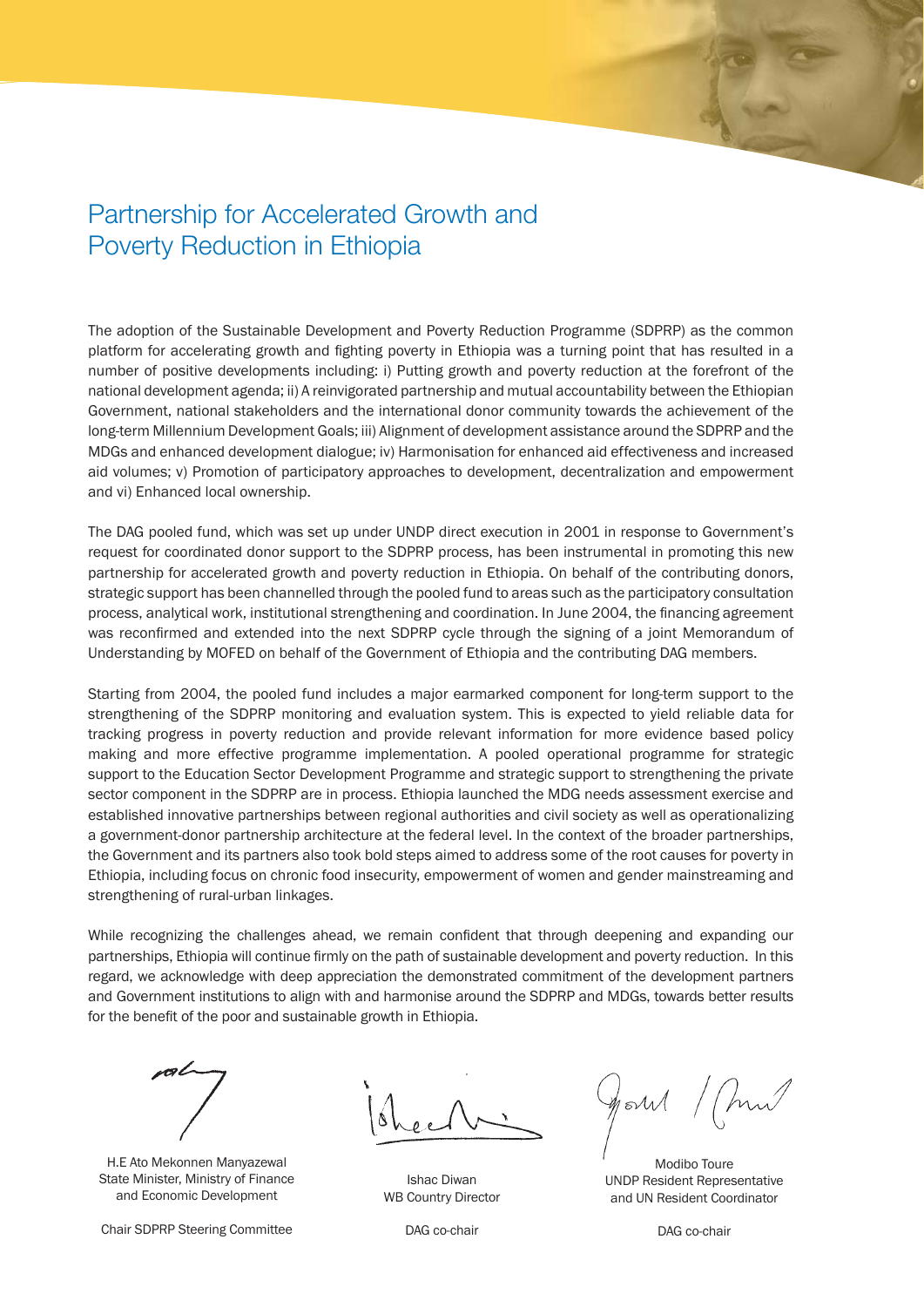## Partnership for Accelerated Growth and Poverty Reduction in Ethiopia

The adoption of the Sustainable Development and Poverty Reduction Programme (SDPRP) as the common platform for accelerating growth and fighting poverty in Ethiopia was a turning point that has resulted in a number of positive developments including: i) Putting growth and poverty reduction at the forefront of the national development agenda; ii) A reinvigorated partnership and mutual accountability between the Ethiopian Government, national stakeholders and the international donor community towards the achievement of the long-term Millennium Development Goals; iii) Alignment of development assistance around the SDPRP and the MDGs and enhanced development dialogue; iv) Harmonisation for enhanced aid effectiveness and increased aid volumes; v) Promotion of participatory approaches to development, decentralization and empowerment and vi) Enhanced local ownership.

The DAG pooled fund, which was set up under UNDP direct execution in 2001 in response to Government's request for coordinated donor support to the SDPRP process, has been instrumental in promoting this new partnership for accelerated growth and poverty reduction in Ethiopia. On behalf of the contributing donors, strategic support has been channelled through the pooled fund to areas such as the participatory consultation process, analytical work, institutional strengthening and coordination. In June 2004, the financing agreement was reconfirmed and extended into the next SDPRP cycle through the signing of a joint Memorandum of Understanding by MOFED on behalf of the Government of Ethiopia and the contributing DAG members.

Starting from 2004, the pooled fund includes a major earmarked component for long-term support to the strengthening of the SDPRP monitoring and evaluation system. This is expected to yield reliable data for tracking progress in poverty reduction and provide relevant information for more evidence based policy making and more effective programme implementation. A pooled operational programme for strategic support to the Education Sector Development Programme and strategic support to strengthening the private sector component in the SDPRP are in process. Ethiopia launched the MDG needs assessment exercise and established innovative partnerships between regional authorities and civil society as well as operationalizing a government-donor partnership architecture at the federal level. In the context of the broader partnerships, the Government and its partners also took bold steps aimed to address some of the root causes for poverty in Ethiopia, including focus on chronic food insecurity, empowerment of women and gender mainstreaming and strengthening of rural-urban linkages.

While recognizing the challenges ahead, we remain confident that through deepening and expanding our partnerships, Ethiopia will continue firmly on the path of sustainable development and poverty reduction. In this regard, we acknowledge with deep appreciation the demonstrated commitment of the development partners and Government institutions to align with and harmonise around the SDPRP and MDGs, towards better results for the benefit of the poor and sustainable growth in Ethiopia.



H.E Ato Mekonnen Manyazewal State Minister, Ministry of Finance and Economic Development

Chair SDPRP Steering Committee

Ishac Diwan WB Country Director

 $\mathscr{U}$ ธ $\mathcal{M}$ 

Modibo Toure UNDP Resident Representative and UN Resident Coordinator

DAG co-chair

DAG co-chair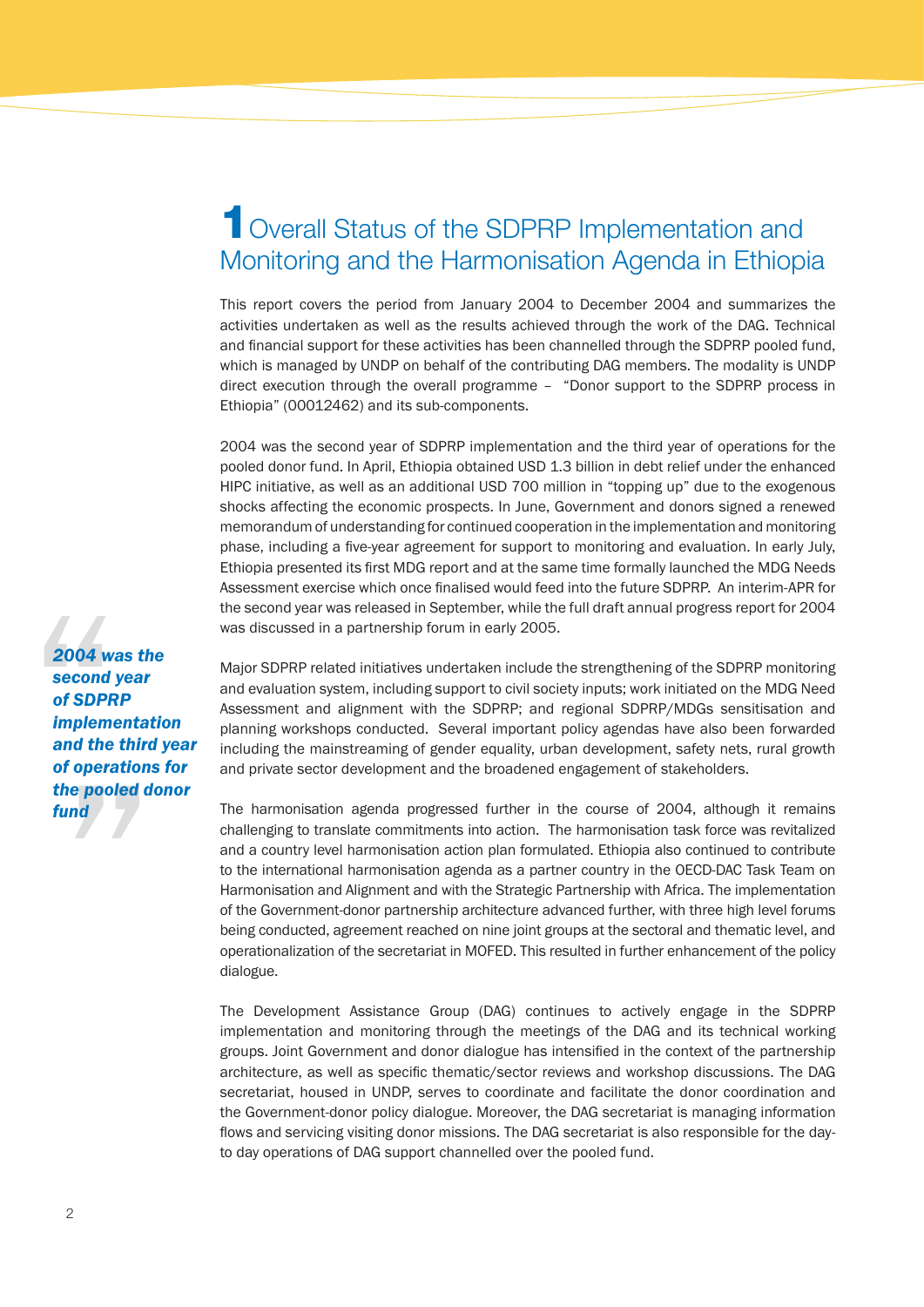## **1** Overall Status of the SDPRP Implementation and Monitoring and the Harmonisation Agenda in Ethiopia

This report covers the period from January 2004 to December 2004 and summarizes the activities undertaken as well as the results achieved through the work of the DAG. Technical and financial support for these activities has been channelled through the SDPRP pooled fund, which is managed by UNDP on behalf of the contributing DAG members. The modality is UNDP direct execution through the overall programme – "Donor support to the SDPRP process in Ethiopia" (00012462) and its sub-components.

2004 was the second year of SDPRP implementation and the third year of operations for the pooled donor fund. In April, Ethiopia obtained USD 1.3 billion in debt relief under the enhanced HIPC initiative, as well as an additional USD 700 million in "topping up" due to the exogenous shocks affecting the economic prospects. In June, Government and donors signed a renewed memorandum of understanding for continued cooperation in the implementation and monitoring phase, including a five-year agreement for support to monitoring and evaluation. In early July, Ethiopia presented its first MDG report and at the same time formally launched the MDG Needs Assessment exercise which once finalised would feed into the future SDPRP. An interim-APR for the second year was released in September, while the full draft annual progress report for 2004 was discussed in a partnership forum in early 2005.

Major SDPRP related initiatives undertaken include the strengthening of the SDPRP monitoring and evaluation system, including support to civil society inputs; work initiated on the MDG Need Assessment and alignment with the SDPRP; and regional SDPRP/MDGs sensitisation and planning workshops conducted. Several important policy agendas have also been forwarded including the mainstreaming of gender equality, urban development, safety nets, rural growth and private sector development and the broadened engagement of stakeholders.

The harmonisation agenda progressed further in the course of 2004, although it remains challenging to translate commitments into action. The harmonisation task force was revitalized and a country level harmonisation action plan formulated. Ethiopia also continued to contribute to the international harmonisation agenda as a partner country in the OECD-DAC Task Team on Harmonisation and Alignment and with the Strategic Partnership with Africa. The implementation of the Government-donor partnership architecture advanced further, with three high level forums being conducted, agreement reached on nine joint groups at the sectoral and thematic level, and operationalization of the secretariat in MOFED. This resulted in further enhancement of the policy dialogue.

The Development Assistance Group (DAG) continues to actively engage in the SDPRP implementation and monitoring through the meetings of the DAG and its technical working groups. Joint Government and donor dialogue has intensified in the context of the partnership architecture, as well as specific thematic/sector reviews and workshop discussions. The DAG secretariat, housed in UNDP, serves to coordinate and facilitate the donor coordination and the Government-donor policy dialogue. Moreover, the DAG secretariat is managing information flows and servicing visiting donor missions. The DAG secretariat is also responsible for the dayto day operations of DAG support channelled over the pooled fund.

*2004 was the second year of SDPRP implementation and the third year of operations for the pooled donor fund*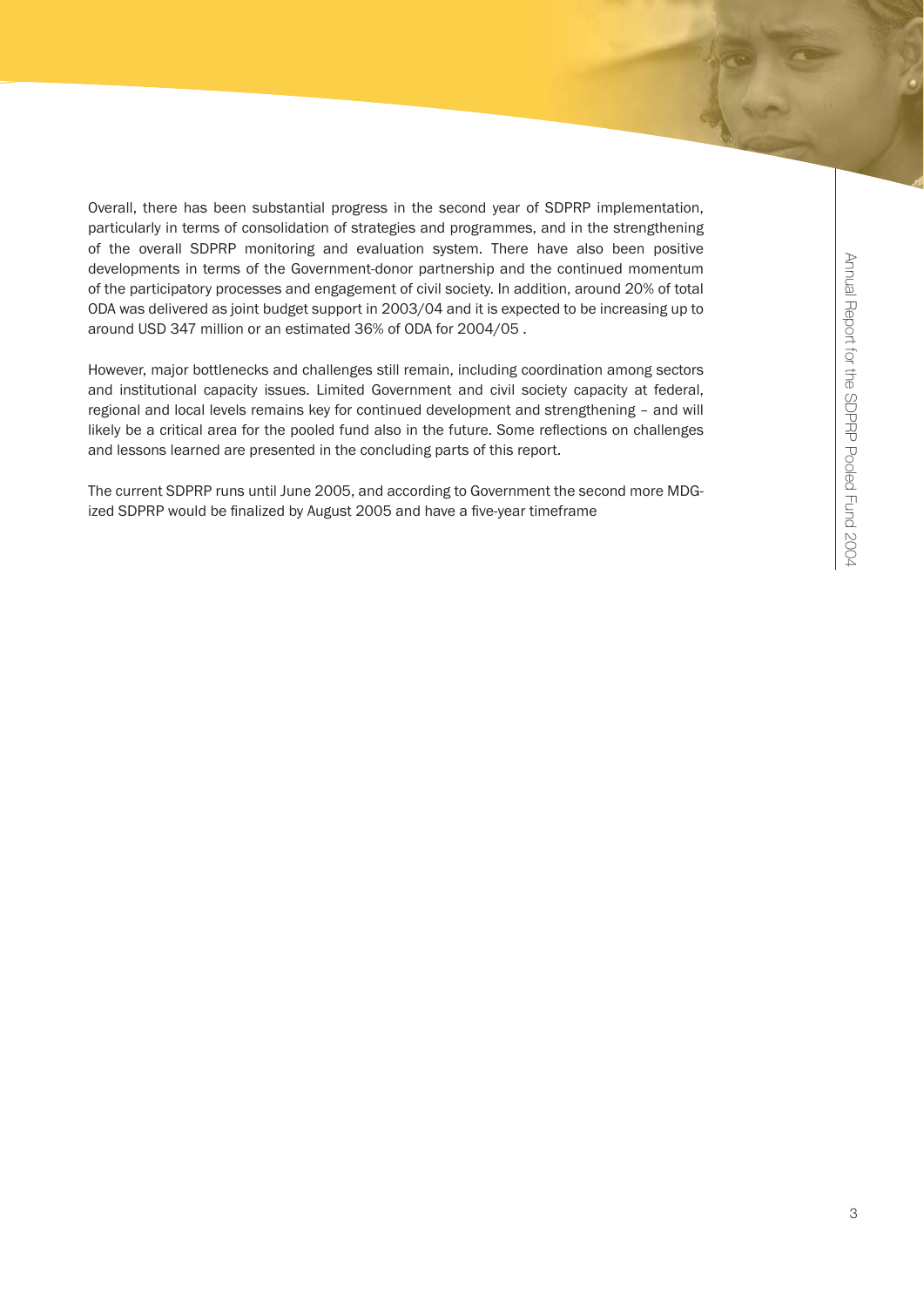Overall, there has been substantial progress in the second year of SDPRP implementation, particularly in terms of consolidation of strategies and programmes, and in the strengthening of the overall SDPRP monitoring and evaluation system. There have also been positive developments in terms of the Government-donor partnership and the continued momentum of the participatory processes and engagement of civil society. In addition, around 20% of total ODA was delivered as joint budget support in 2003/04 and it is expected to be increasing up to around USD 347 million or an estimated 36% of ODA for 2004/05 .

However, major bottlenecks and challenges still remain, including coordination among sectors and institutional capacity issues. Limited Government and civil society capacity at federal, regional and local levels remains key for continued development and strengthening – and will likely be a critical area for the pooled fund also in the future. Some reflections on challenges and lessons learned are presented in the concluding parts of this report.

The current SDPRP runs until June 2005, and according to Government the second more MDGized SDPRP would be finalized by August 2005 and have a five-year timeframe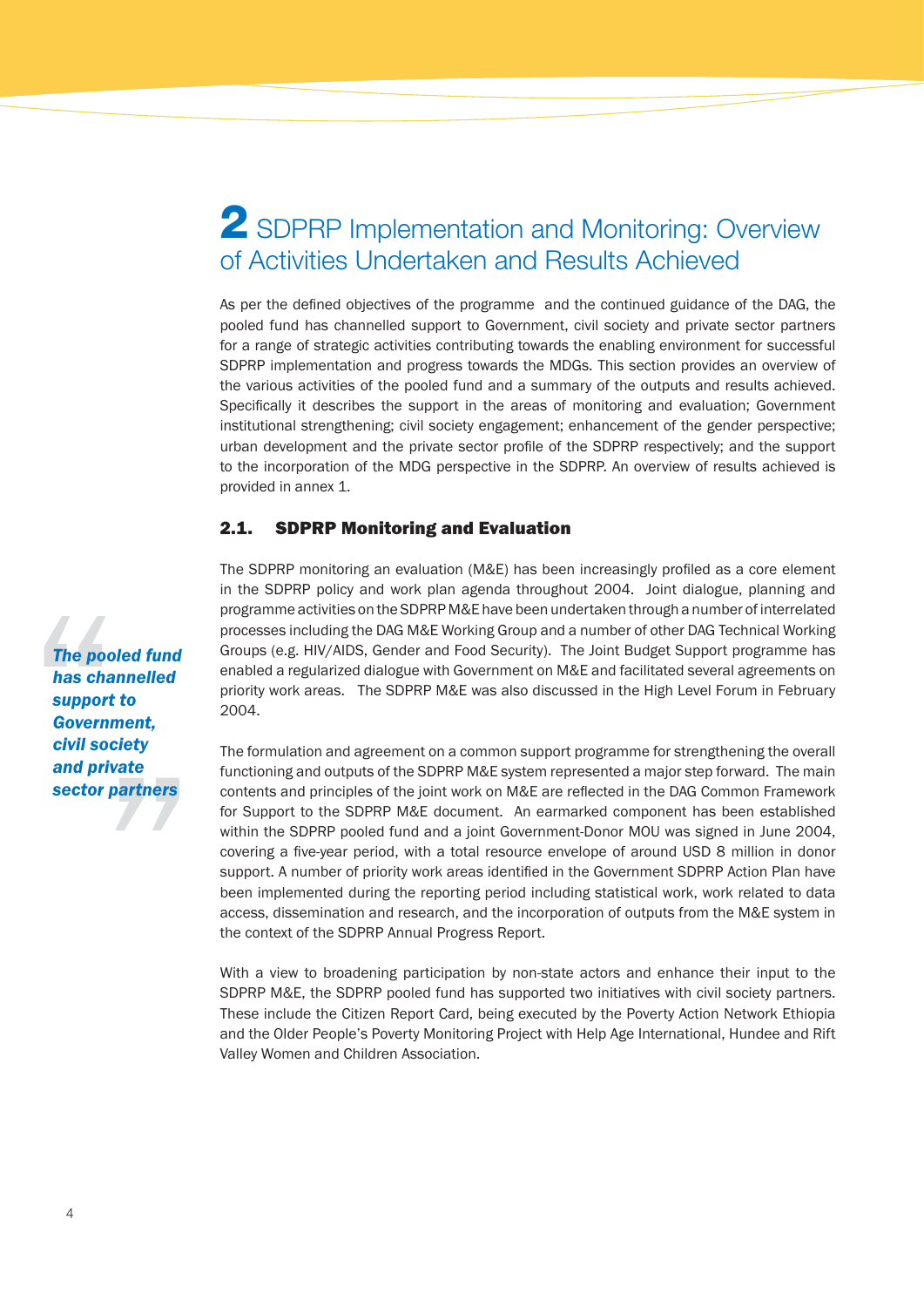## **2** SDPRP Implementation and Monitoring: Overview of Activities Undertaken and Results Achieved

As per the defined objectives of the programme and the continued guidance of the DAG, the pooled fund has channelled support to Government, civil society and private sector partners for a range of strategic activities contributing towards the enabling environment for successful SDPRP implementation and progress towards the MDGs. This section provides an overview of the various activities of the pooled fund and a summary of the outputs and results achieved. Specifically it describes the support in the areas of monitoring and evaluation; Government institutional strengthening; civil society engagement; enhancement of the gender perspective; urban development and the private sector profile of the SDPRP respectively; and the support to the incorporation of the MDG perspective in the SDPRP. An overview of results achieved is provided in annex 1.

#### 2.1. SDPRP Monitoring and Evaluation

The SDPRP monitoring an evaluation (M&E) has been increasingly profiled as a core element in the SDPRP policy and work plan agenda throughout 2004. Joint dialogue, planning and programme activities on the SDPRP M&E have been undertaken through a number of interrelated processes including the DAG M&E Working Group and a number of other DAG Technical Working Groups (e.g. HIV/AIDS, Gender and Food Security). The Joint Budget Support programme has enabled a regularized dialogue with Government on M&E and facilitated several agreements on priority work areas. The SDPRP M&E was also discussed in the High Level Forum in February 2004.

The formulation and agreement on a common support programme for strengthening the overall functioning and outputs of the SDPRP M&E system represented a major step forward. The main contents and principles of the joint work on M&E are reflected in the DAG Common Framework for Support to the SDPRP M&E document. An earmarked component has been established within the SDPRP pooled fund and a joint Government-Donor MOU was signed in June 2004, covering a five-year period, with a total resource envelope of around USD 8 million in donor support. A number of priority work areas identified in the Government SDPRP Action Plan have been implemented during the reporting period including statistical work, work related to data access, dissemination and research, and the incorporation of outputs from the M&E system in the context of the SDPRP Annual Progress Report.

With a view to broadening participation by non-state actors and enhance their input to the SDPRP M&E, the SDPRP pooled fund has supported two initiatives with civil society partners. These include the Citizen Report Card, being executed by the Poverty Action Network Ethiopia and the Older People's Poverty Monitoring Project with Help Age International, Hundee and Rift Valley Women and Children Association.

*The pooled fund has channelled support to Government, civil society and private sector partners*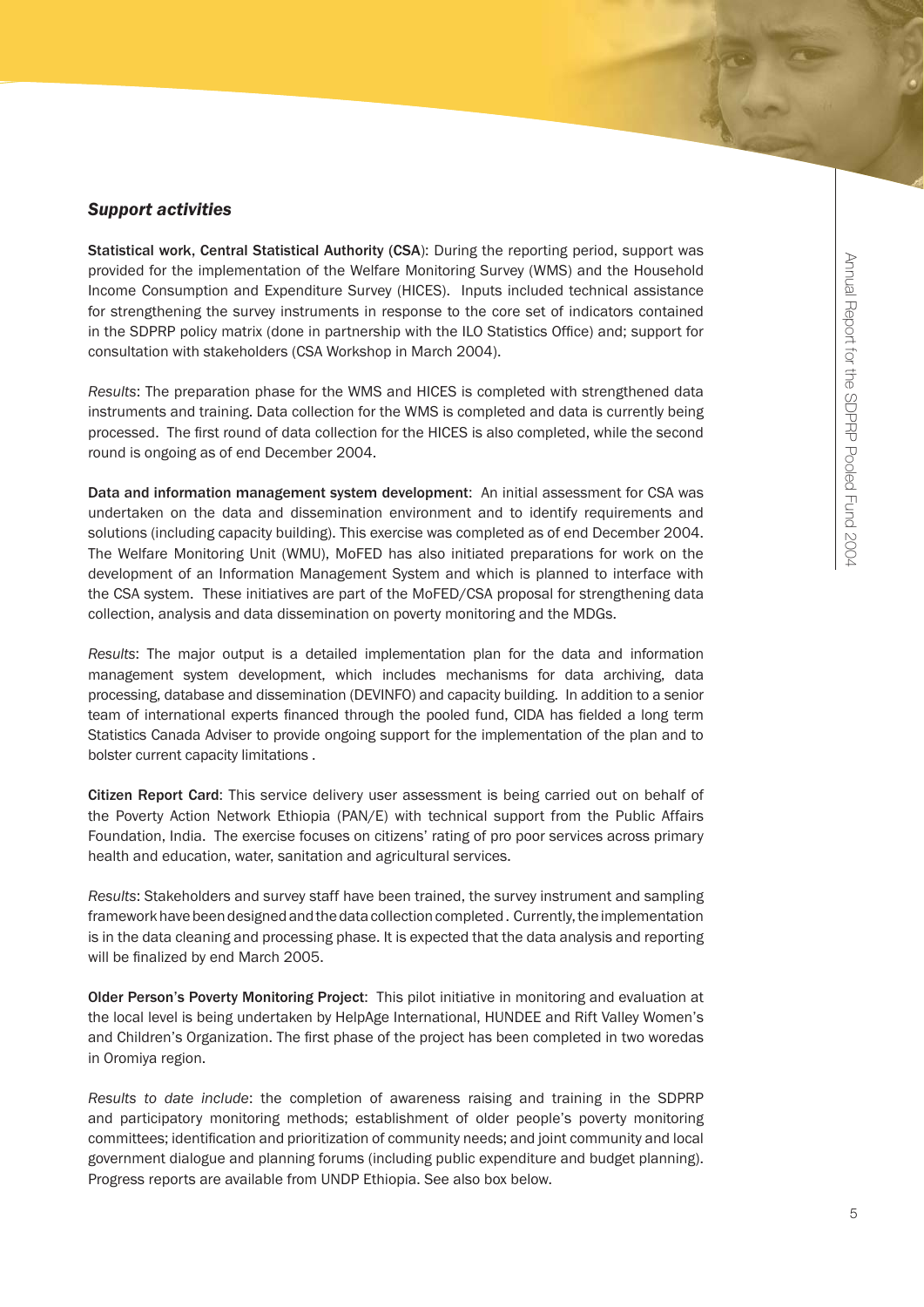#### *Support activities*

Statistical work, Central Statistical Authority (CSA): During the reporting period, support was provided for the implementation of the Welfare Monitoring Survey (WMS) and the Household Income Consumption and Expenditure Survey (HICES). Inputs included technical assistance for strengthening the survey instruments in response to the core set of indicators contained in the SDPRP policy matrix (done in partnership with the ILO Statistics Office) and; support for consultation with stakeholders (CSA Workshop in March 2004).

*Results*: The preparation phase for the WMS and HICES is completed with strengthened data instruments and training. Data collection for the WMS is completed and data is currently being processed. The first round of data collection for the HICES is also completed, while the second round is ongoing as of end December 2004.

Data and information management system development: An initial assessment for CSA was undertaken on the data and dissemination environment and to identify requirements and solutions (including capacity building). This exercise was completed as of end December 2004. The Welfare Monitoring Unit (WMU), MoFED has also initiated preparations for work on the development of an Information Management System and which is planned to interface with the CSA system. These initiatives are part of the MoFED/CSA proposal for strengthening data collection, analysis and data dissemination on poverty monitoring and the MDGs.

*Results*: The major output is a detailed implementation plan for the data and information management system development, which includes mechanisms for data archiving, data processing, database and dissemination (DEVINFO) and capacity building. In addition to a senior team of international experts financed through the pooled fund, CIDA has fielded a long term Statistics Canada Adviser to provide ongoing support for the implementation of the plan and to bolster current capacity limitations .

Citizen Report Card: This service delivery user assessment is being carried out on behalf of the Poverty Action Network Ethiopia (PAN/E) with technical support from the Public Affairs Foundation, India. The exercise focuses on citizens' rating of pro poor services across primary health and education, water, sanitation and agricultural services.

*Results*: Stakeholders and survey staff have been trained, the survey instrument and sampling framework have been designed and the data collection completed . Currently, the implementation is in the data cleaning and processing phase. It is expected that the data analysis and reporting will be finalized by end March 2005.

Older Person's Poverty Monitoring Project: This pilot initiative in monitoring and evaluation at the local level is being undertaken by HelpAge International, HUNDEE and Rift Valley Women's and Children's Organization. The first phase of the project has been completed in two woredas in Oromiya region.

*Results to date include*: the completion of awareness raising and training in the SDPRP and participatory monitoring methods; establishment of older people's poverty monitoring committees; identification and prioritization of community needs; and joint community and local government dialogue and planning forums (including public expenditure and budget planning). Progress reports are available from UNDP Ethiopia. See also box below.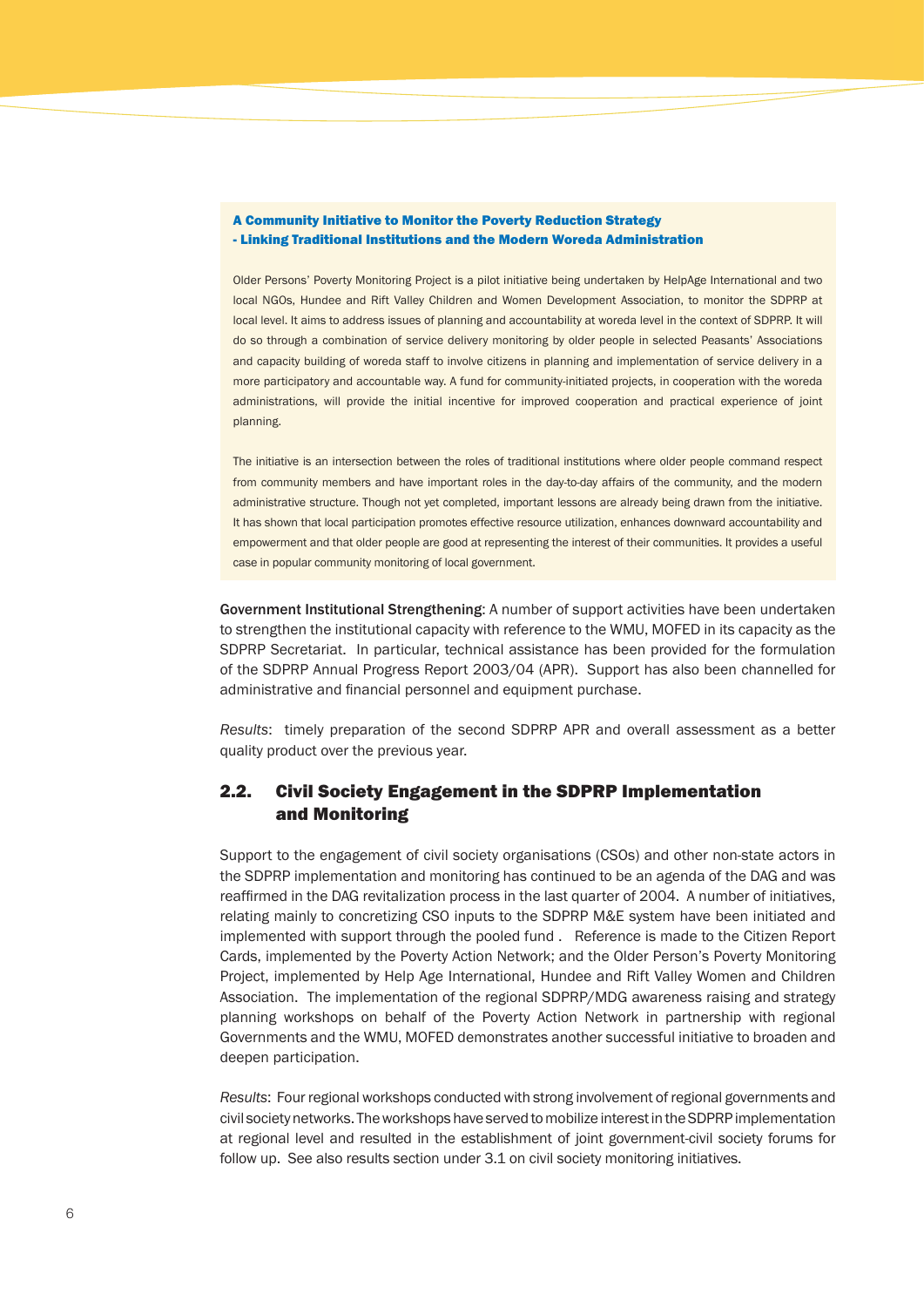#### A Community Initiative to Monitor the Poverty Reduction Strategy - Linking Traditional Institutions and the Modern Woreda Administration

Older Persons' Poverty Monitoring Project is a pilot initiative being undertaken by HelpAge International and two local NGOs, Hundee and Rift Valley Children and Women Development Association, to monitor the SDPRP at local level. It aims to address issues of planning and accountability at woreda level in the context of SDPRP. It will do so through a combination of service delivery monitoring by older people in selected Peasants' Associations and capacity building of woreda staff to involve citizens in planning and implementation of service delivery in a more participatory and accountable way. A fund for community-initiated projects, in cooperation with the woreda administrations, will provide the initial incentive for improved cooperation and practical experience of joint planning.

The initiative is an intersection between the roles of traditional institutions where older people command respect from community members and have important roles in the day-to-day affairs of the community, and the modern administrative structure. Though not yet completed, important lessons are already being drawn from the initiative. It has shown that local participation promotes effective resource utilization, enhances downward accountability and empowerment and that older people are good at representing the interest of their communities. It provides a useful case in popular community monitoring of local government.

Government Institutional Strengthening: A number of support activities have been undertaken to strengthen the institutional capacity with reference to the WMU, MOFED in its capacity as the SDPRP Secretariat. In particular, technical assistance has been provided for the formulation of the SDPRP Annual Progress Report 2003/04 (APR). Support has also been channelled for administrative and financial personnel and equipment purchase.

*Results*: timely preparation of the second SDPRP APR and overall assessment as a better quality product over the previous year.

#### 2.2. Civil Society Engagement in the SDPRP Implementation and Monitoring

Support to the engagement of civil society organisations (CSOs) and other non-state actors in the SDPRP implementation and monitoring has continued to be an agenda of the DAG and was reaffirmed in the DAG revitalization process in the last quarter of 2004. A number of initiatives, relating mainly to concretizing CSO inputs to the SDPRP M&E system have been initiated and implemented with support through the pooled fund . Reference is made to the Citizen Report Cards, implemented by the Poverty Action Network; and the Older Person's Poverty Monitoring Project, implemented by Help Age International, Hundee and Rift Valley Women and Children Association. The implementation of the regional SDPRP/MDG awareness raising and strategy planning workshops on behalf of the Poverty Action Network in partnership with regional Governments and the WMU, MOFED demonstrates another successful initiative to broaden and deepen participation.

*Results*: Four regional workshops conducted with strong involvement of regional governments and civil society networks. The workshops have served to mobilize interest in the SDPRP implementation at regional level and resulted in the establishment of joint government-civil society forums for follow up. See also results section under 3.1 on civil society monitoring initiatives.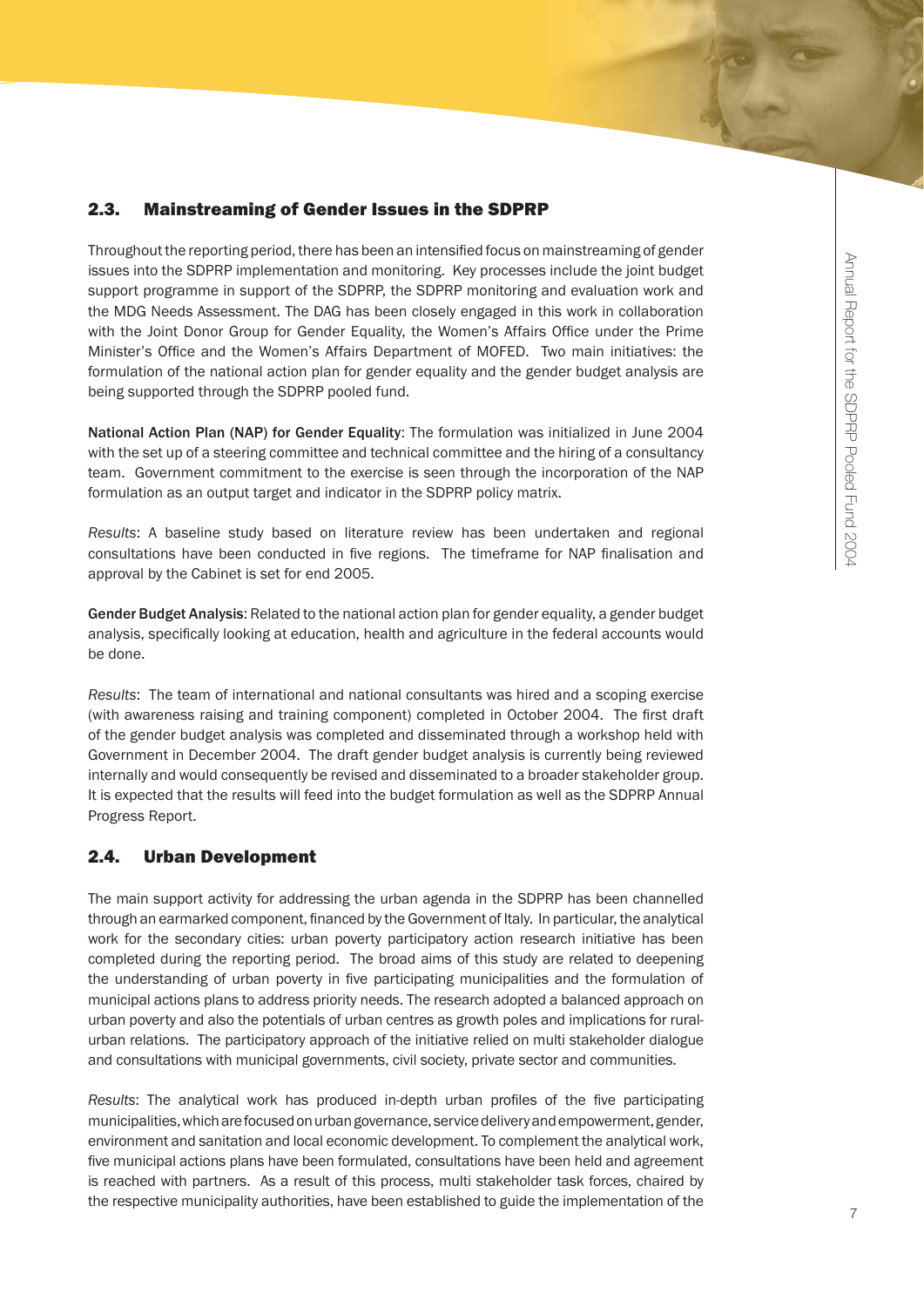#### 2.3. Mainstreaming of Gender Issues in the SDPRP

Throughout the reporting period, there has been an intensified focus on mainstreaming of gender issues into the SDPRP implementation and monitoring. Key processes include the joint budget support programme in support of the SDPRP, the SDPRP monitoring and evaluation work and the MDG Needs Assessment. The DAG has been closely engaged in this work in collaboration with the Joint Donor Group for Gender Equality, the Women's Affairs Office under the Prime Minister's Office and the Women's Affairs Department of MOFED. Two main initiatives: the formulation of the national action plan for gender equality and the gender budget analysis are being supported through the SDPRP pooled fund.

National Action Plan (NAP) for Gender Equality: The formulation was initialized in June 2004 with the set up of a steering committee and technical committee and the hiring of a consultancy team. Government commitment to the exercise is seen through the incorporation of the NAP formulation as an output target and indicator in the SDPRP policy matrix.

*Results*: A baseline study based on literature review has been undertaken and regional consultations have been conducted in five regions. The timeframe for NAP finalisation and approval by the Cabinet is set for end 2005.

Gender Budget Analysis: Related to the national action plan for gender equality, a gender budget analysis, specifically looking at education, health and agriculture in the federal accounts would be done.

*Results*: The team of international and national consultants was hired and a scoping exercise (with awareness raising and training component) completed in October 2004. The first draft of the gender budget analysis was completed and disseminated through a workshop held with Government in December 2004. The draft gender budget analysis is currently being reviewed internally and would consequently be revised and disseminated to a broader stakeholder group. It is expected that the results will feed into the budget formulation as well as the SDPRP Annual Progress Report.

#### 2.4. Urban Development

The main support activity for addressing the urban agenda in the SDPRP has been channelled through an earmarked component, financed by the Government of Italy. In particular, the analytical work for the secondary cities: urban poverty participatory action research initiative has been completed during the reporting period. The broad aims of this study are related to deepening the understanding of urban poverty in five participating municipalities and the formulation of municipal actions plans to address priority needs. The research adopted a balanced approach on urban poverty and also the potentials of urban centres as growth poles and implications for ruralurban relations. The participatory approach of the initiative relied on multi stakeholder dialogue and consultations with municipal governments, civil society, private sector and communities.

*Results*: The analytical work has produced in-depth urban profiles of the five participating municipalities, which are focused on urban governance, service delivery and empowerment, gender, environment and sanitation and local economic development. To complement the analytical work, five municipal actions plans have been formulated, consultations have been held and agreement is reached with partners. As a result of this process, multi stakeholder task forces, chaired by the respective municipality authorities, have been established to guide the implementation of the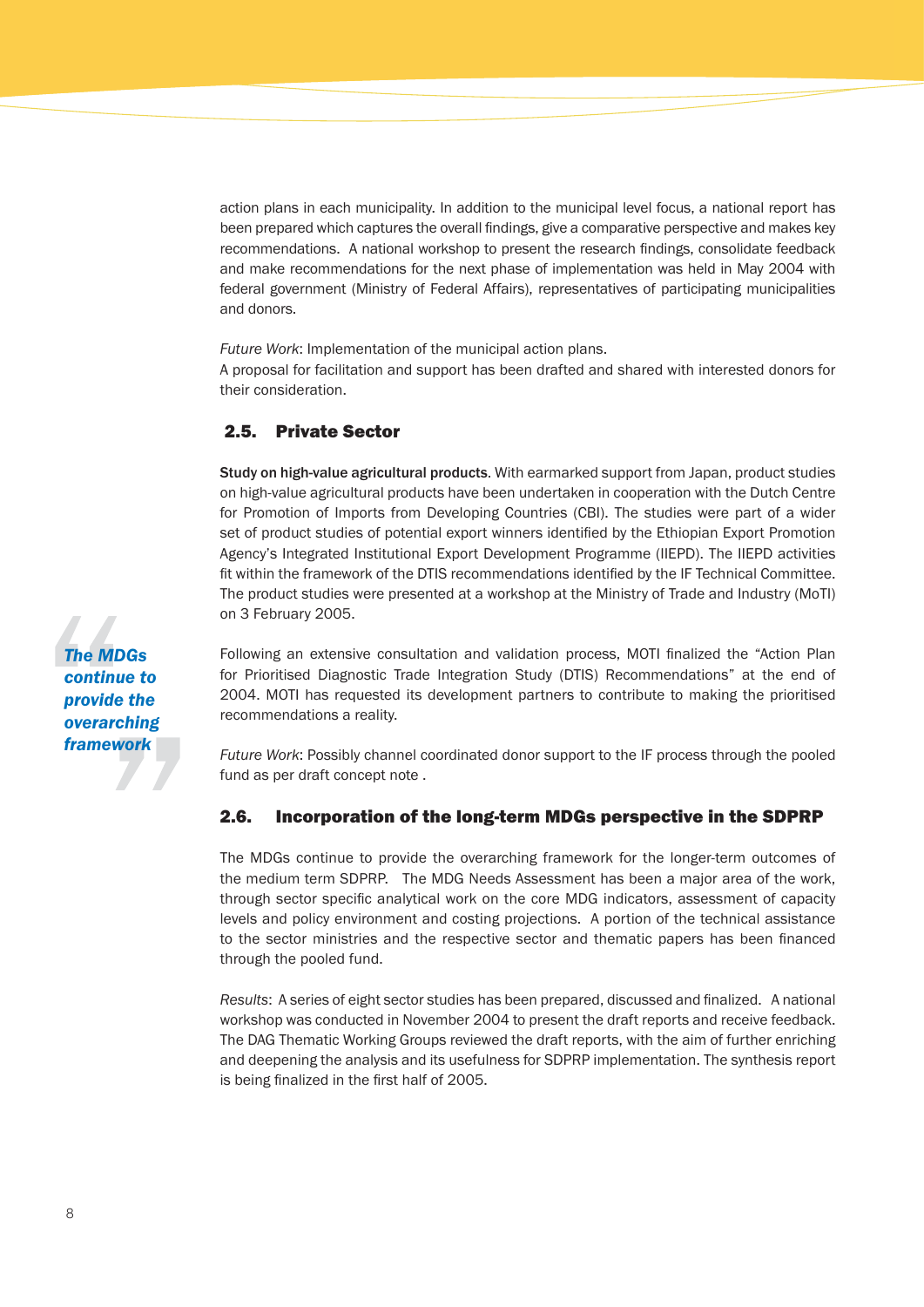action plans in each municipality. In addition to the municipal level focus, a national report has been prepared which captures the overall findings, give a comparative perspective and makes key recommendations. A national workshop to present the research findings, consolidate feedback and make recommendations for the next phase of implementation was held in May 2004 with federal government (Ministry of Federal Affairs), representatives of participating municipalities and donors.

*Future Work*: Implementation of the municipal action plans.

A proposal for facilitation and support has been drafted and shared with interested donors for their consideration.

#### 2.5. Private Sector

Study on high-value agricultural products. With earmarked support from Japan, product studies on high-value agricultural products have been undertaken in cooperation with the Dutch Centre for Promotion of Imports from Developing Countries (CBI). The studies were part of a wider set of product studies of potential export winners identified by the Ethiopian Export Promotion Agency's Integrated Institutional Export Development Programme (IIEPD). The IIEPD activities fit within the framework of the DTIS recommendations identified by the IF Technical Committee. The product studies were presented at a workshop at the Ministry of Trade and Industry (MoTI) on 3 February 2005.

Following an extensive consultation and validation process, MOTI finalized the "Action Plan for Prioritised Diagnostic Trade Integration Study (DTIS) Recommendations" at the end of 2004. MOTI has requested its development partners to contribute to making the prioritised recommendations a reality.

*Future Work*: Possibly channel coordinated donor support to the IF process through the pooled fund as per draft concept note .

#### 2.6. Incorporation of the long-term MDGs perspective in the SDPRP

The MDGs continue to provide the overarching framework for the longer-term outcomes of the medium term SDPRP. The MDG Needs Assessment has been a major area of the work, through sector specific analytical work on the core MDG indicators, assessment of capacity levels and policy environment and costing projections. A portion of the technical assistance to the sector ministries and the respective sector and thematic papers has been financed through the pooled fund.

*Results*: A series of eight sector studies has been prepared, discussed and finalized. A national workshop was conducted in November 2004 to present the draft reports and receive feedback. The DAG Thematic Working Groups reviewed the draft reports, with the aim of further enriching and deepening the analysis and its usefulness for SDPRP implementation. The synthesis report is being finalized in the first half of 2005.

*The MDGs continue to provide the overarching framework*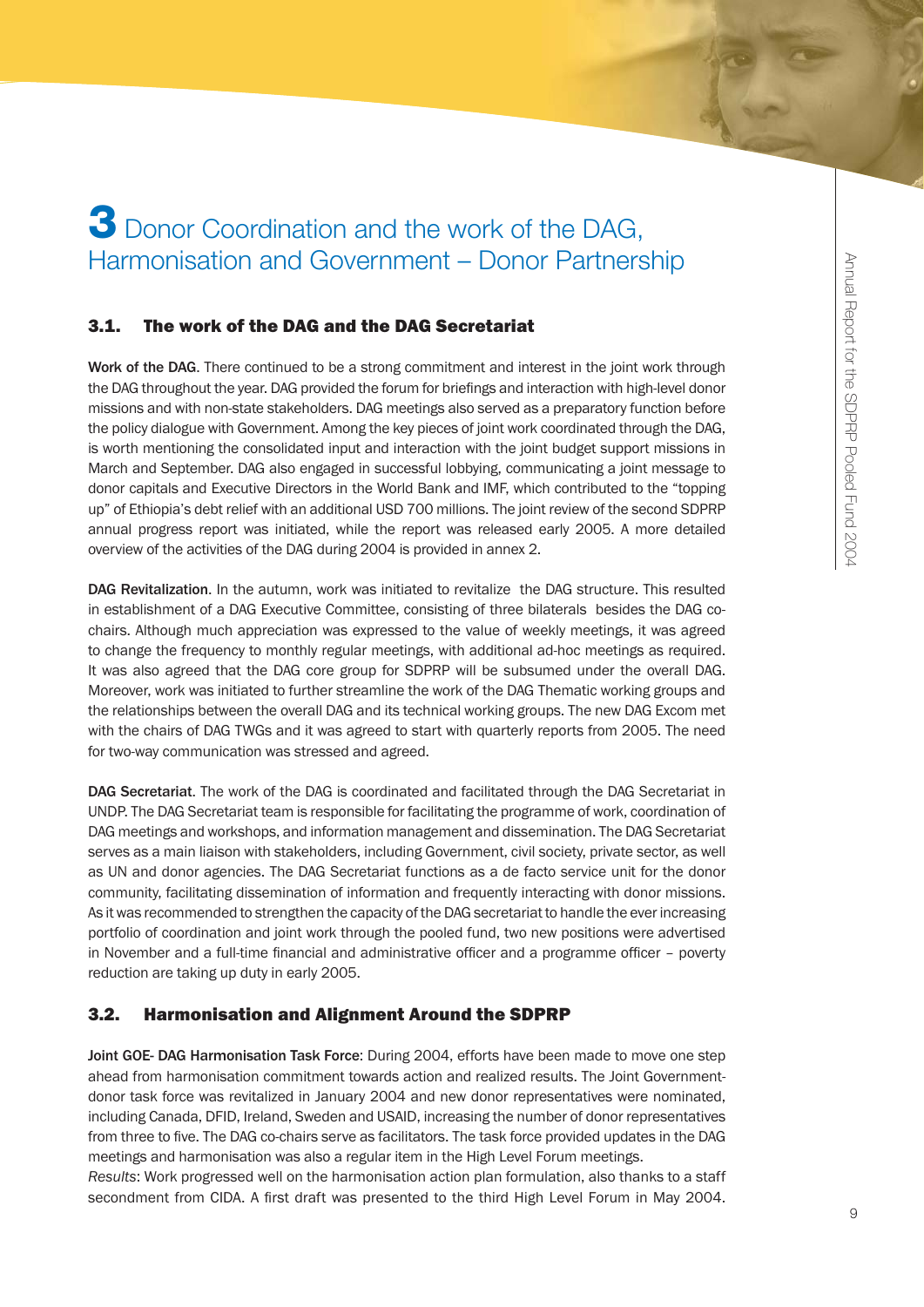## **3** Donor Coordination and the work of the DAG, Harmonisation and Government – Donor Partnership

#### 3.1. The work of the DAG and the DAG Secretariat

Work of the DAG. There continued to be a strong commitment and interest in the joint work through the DAG throughout the year. DAG provided the forum for briefings and interaction with high-level donor missions and with non-state stakeholders. DAG meetings also served as a preparatory function before the policy dialogue with Government. Among the key pieces of joint work coordinated through the DAG, is worth mentioning the consolidated input and interaction with the joint budget support missions in March and September. DAG also engaged in successful lobbying, communicating a joint message to donor capitals and Executive Directors in the World Bank and IMF, which contributed to the "topping up" of Ethiopia's debt relief with an additional USD 700 millions. The joint review of the second SDPRP annual progress report was initiated, while the report was released early 2005. A more detailed overview of the activities of the DAG during 2004 is provided in annex 2.

DAG Revitalization. In the autumn, work was initiated to revitalize the DAG structure. This resulted in establishment of a DAG Executive Committee, consisting of three bilaterals besides the DAG cochairs. Although much appreciation was expressed to the value of weekly meetings, it was agreed to change the frequency to monthly regular meetings, with additional ad-hoc meetings as required. It was also agreed that the DAG core group for SDPRP will be subsumed under the overall DAG. Moreover, work was initiated to further streamline the work of the DAG Thematic working groups and the relationships between the overall DAG and its technical working groups. The new DAG Excom met with the chairs of DAG TWGs and it was agreed to start with quarterly reports from 2005. The need for two-way communication was stressed and agreed.

DAG Secretariat. The work of the DAG is coordinated and facilitated through the DAG Secretariat in UNDP. The DAG Secretariat team is responsible for facilitating the programme of work, coordination of DAG meetings and workshops, and information management and dissemination. The DAG Secretariat serves as a main liaison with stakeholders, including Government, civil society, private sector, as well as UN and donor agencies. The DAG Secretariat functions as a de facto service unit for the donor community, facilitating dissemination of information and frequently interacting with donor missions. As it was recommended to strengthen the capacity of the DAG secretariat to handle the ever increasing portfolio of coordination and joint work through the pooled fund, two new positions were advertised in November and a full-time financial and administrative officer and a programme officer – poverty reduction are taking up duty in early 2005.

#### 3.2. Harmonisation and Alignment Around the SDPRP

Joint GOE- DAG Harmonisation Task Force: During 2004, efforts have been made to move one step ahead from harmonisation commitment towards action and realized results. The Joint Governmentdonor task force was revitalized in January 2004 and new donor representatives were nominated, including Canada, DFID, Ireland, Sweden and USAID, increasing the number of donor representatives from three to five. The DAG co-chairs serve as facilitators. The task force provided updates in the DAG meetings and harmonisation was also a regular item in the High Level Forum meetings.

*Results*: Work progressed well on the harmonisation action plan formulation, also thanks to a staff secondment from CIDA. A first draft was presented to the third High Level Forum in May 2004.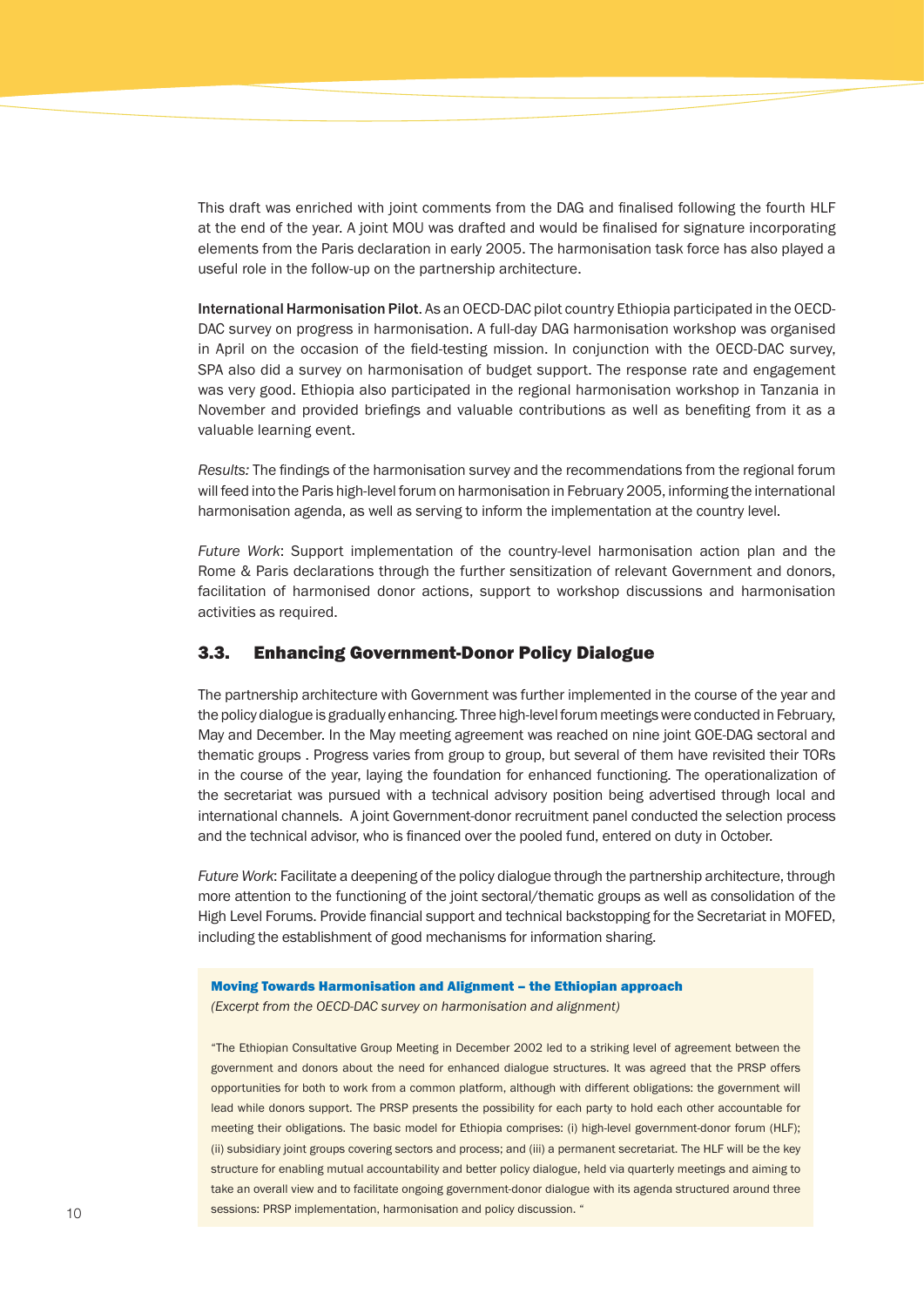This draft was enriched with joint comments from the DAG and finalised following the fourth HLF at the end of the year. A joint MOU was drafted and would be finalised for signature incorporating elements from the Paris declaration in early 2005. The harmonisation task force has also played a useful role in the follow-up on the partnership architecture.

International Harmonisation Pilot. As an OECD-DAC pilot country Ethiopia participated in the OECD-DAC survey on progress in harmonisation. A full-day DAG harmonisation workshop was organised in April on the occasion of the field-testing mission. In conjunction with the OECD-DAC survey, SPA also did a survey on harmonisation of budget support. The response rate and engagement was very good. Ethiopia also participated in the regional harmonisation workshop in Tanzania in November and provided briefings and valuable contributions as well as benefiting from it as a valuable learning event.

*Results:* The findings of the harmonisation survey and the recommendations from the regional forum will feed into the Paris high-level forum on harmonisation in February 2005, informing the international harmonisation agenda, as well as serving to inform the implementation at the country level.

*Future Work*: Support implementation of the country-level harmonisation action plan and the Rome & Paris declarations through the further sensitization of relevant Government and donors, facilitation of harmonised donor actions, support to workshop discussions and harmonisation activities as required.

#### 3.3. Enhancing Government-Donor Policy Dialogue

The partnership architecture with Government was further implemented in the course of the year and the policy dialogue is gradually enhancing. Three high-level forum meetings were conducted in February, May and December. In the May meeting agreement was reached on nine joint GOE-DAG sectoral and thematic groups . Progress varies from group to group, but several of them have revisited their TORs in the course of the year, laying the foundation for enhanced functioning. The operationalization of the secretariat was pursued with a technical advisory position being advertised through local and international channels. A joint Government-donor recruitment panel conducted the selection process and the technical advisor, who is financed over the pooled fund, entered on duty in October.

*Future Work*: Facilitate a deepening of the policy dialogue through the partnership architecture, through more attention to the functioning of the joint sectoral/thematic groups as well as consolidation of the High Level Forums. Provide financial support and technical backstopping for the Secretariat in MOFED, including the establishment of good mechanisms for information sharing.

#### Moving Towards Harmonisation and Alignment – the Ethiopian approach

*(Excerpt from the OECD-DAC survey on harmonisation and alignment)*

"The Ethiopian Consultative Group Meeting in December 2002 led to a striking level of agreement between the government and donors about the need for enhanced dialogue structures. It was agreed that the PRSP offers opportunities for both to work from a common platform, although with different obligations: the government will lead while donors support. The PRSP presents the possibility for each party to hold each other accountable for meeting their obligations. The basic model for Ethiopia comprises: (i) high-level government-donor forum (HLF); (ii) subsidiary joint groups covering sectors and process; and (iii) a permanent secretariat. The HLF will be the key structure for enabling mutual accountability and better policy dialogue, held via quarterly meetings and aiming to take an overall view and to facilitate ongoing government-donor dialogue with its agenda structured around three sessions: PRSP implementation, harmonisation and policy discussion. "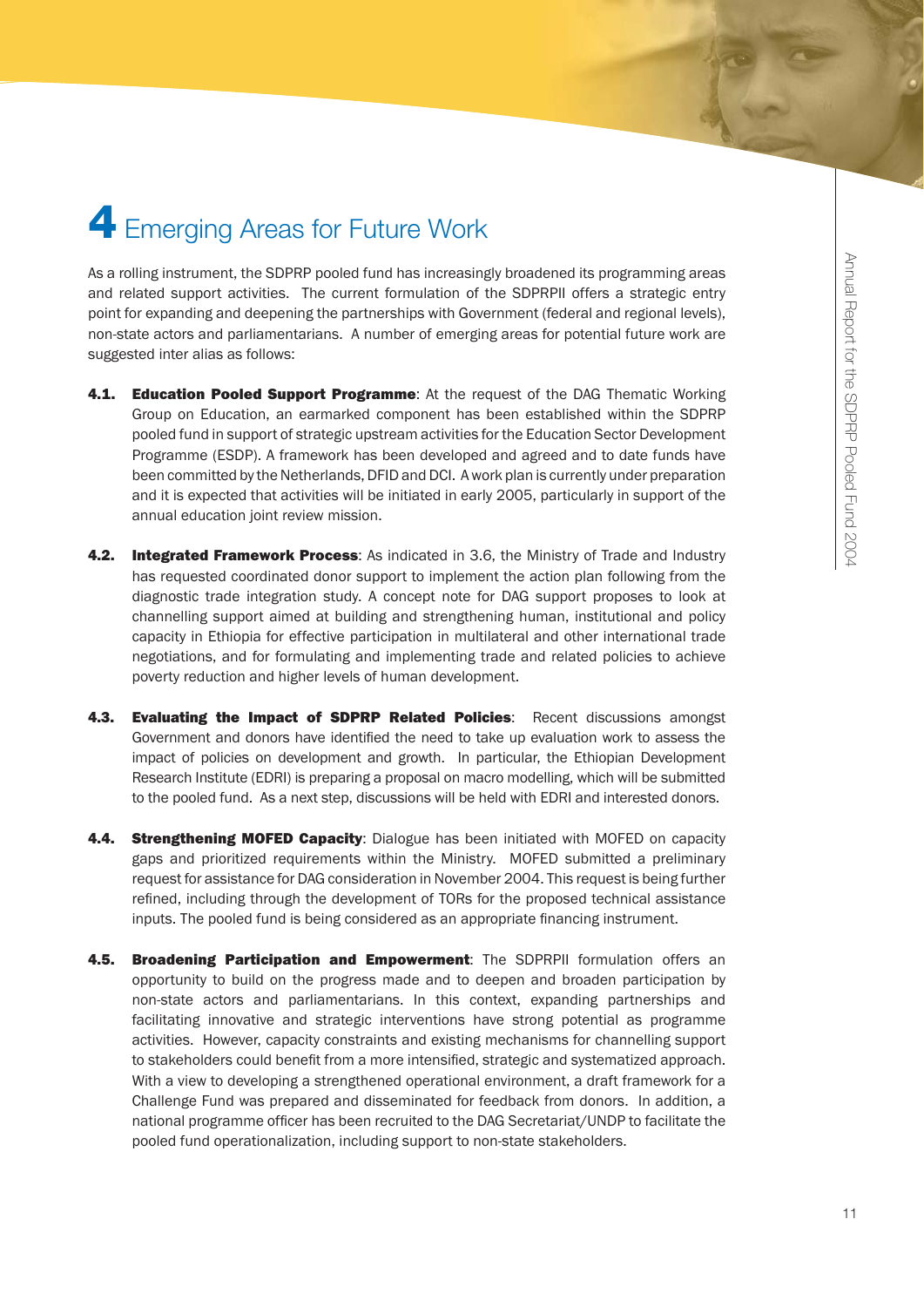## **4** Emerging Areas for Future Work

As a rolling instrument, the SDPRP pooled fund has increasingly broadened its programming areas and related support activities. The current formulation of the SDPRPII offers a strategic entry point for expanding and deepening the partnerships with Government (federal and regional levels), non-state actors and parliamentarians. A number of emerging areas for potential future work are suggested inter alias as follows:

- 4.1. Education Pooled Support Programme: At the request of the DAG Thematic Working Group on Education, an earmarked component has been established within the SDPRP pooled fund in support of strategic upstream activities for the Education Sector Development Programme (ESDP). A framework has been developed and agreed and to date funds have been committed by the Netherlands, DFID and DCI. A work plan is currently under preparation and it is expected that activities will be initiated in early 2005, particularly in support of the annual education joint review mission.
- 4.2. Integrated Framework Process: As indicated in 3.6, the Ministry of Trade and Industry has requested coordinated donor support to implement the action plan following from the diagnostic trade integration study. A concept note for DAG support proposes to look at channelling support aimed at building and strengthening human, institutional and policy capacity in Ethiopia for effective participation in multilateral and other international trade negotiations, and for formulating and implementing trade and related policies to achieve poverty reduction and higher levels of human development.
- 4.3. Evaluating the Impact of SDPRP Related Policies: Recent discussions amongst Government and donors have identified the need to take up evaluation work to assess the impact of policies on development and growth. In particular, the Ethiopian Development Research Institute (EDRI) is preparing a proposal on macro modelling, which will be submitted to the pooled fund. As a next step, discussions will be held with EDRI and interested donors.
- 4.4. Strengthening MOFED Capacity: Dialogue has been initiated with MOFED on capacity gaps and prioritized requirements within the Ministry. MOFED submitted a preliminary request for assistance for DAG consideration in November 2004. This request is being further refined, including through the development of TORs for the proposed technical assistance inputs. The pooled fund is being considered as an appropriate financing instrument.
- 4.5. Broadening Participation and Empowerment: The SDPRPII formulation offers an opportunity to build on the progress made and to deepen and broaden participation by non-state actors and parliamentarians. In this context, expanding partnerships and facilitating innovative and strategic interventions have strong potential as programme activities. However, capacity constraints and existing mechanisms for channelling support to stakeholders could benefit from a more intensified, strategic and systematized approach. With a view to developing a strengthened operational environment, a draft framework for a Challenge Fund was prepared and disseminated for feedback from donors. In addition, a national programme officer has been recruited to the DAG Secretariat/UNDP to facilitate the pooled fund operationalization, including support to non-state stakeholders.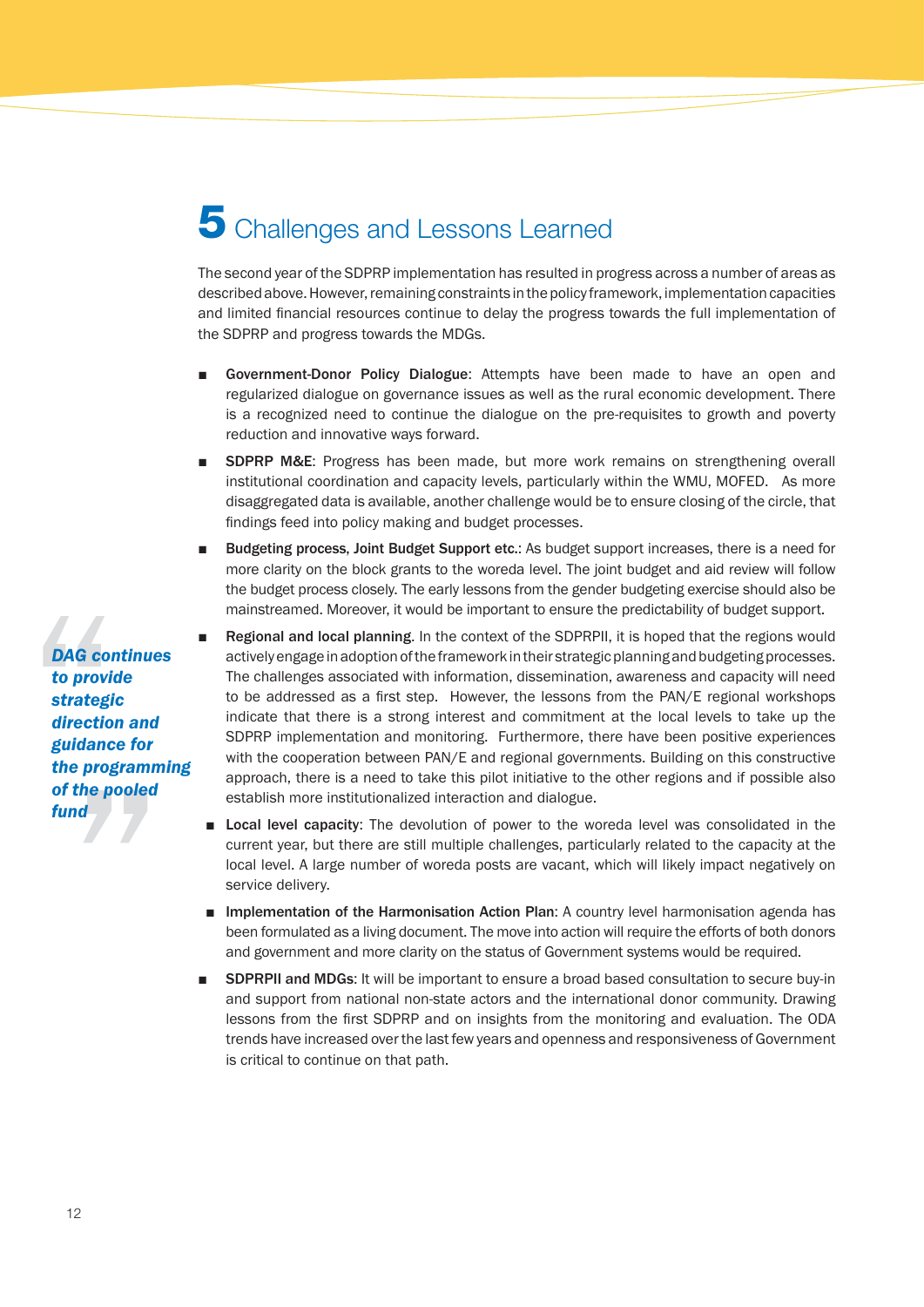## **5** Challenges and Lessons Learned

The second year of the SDPRP implementation has resulted in progress across a number of areas as described above. However, remaining constraints in the policy framework, implementation capacities and limited financial resources continue to delay the progress towards the full implementation of the SDPRP and progress towards the MDGs.

- Government-Donor Policy Dialogue: Attempts have been made to have an open and regularized dialogue on governance issues as well as the rural economic development. There is a recognized need to continue the dialogue on the pre-requisites to growth and poverty reduction and innovative ways forward.
- **SDPRP M&E:** Progress has been made, but more work remains on strengthening overall institutional coordination and capacity levels, particularly within the WMU, MOFED. As more disaggregated data is available, another challenge would be to ensure closing of the circle, that findings feed into policy making and budget processes.
- Budgeting process, Joint Budget Support etc.: As budget support increases, there is a need for more clarity on the block grants to the woreda level. The joint budget and aid review will follow the budget process closely. The early lessons from the gender budgeting exercise should also be mainstreamed. Moreover, it would be important to ensure the predictability of budget support.
- Regional and local planning. In the context of the SDPRPII, it is hoped that the regions would actively engage in adoption of the framework in their strategic planning and budgeting processes. The challenges associated with information, dissemination, awareness and capacity will need to be addressed as a first step. However, the lessons from the PAN/E regional workshops indicate that there is a strong interest and commitment at the local levels to take up the SDPRP implementation and monitoring. Furthermore, there have been positive experiences with the cooperation between PAN/E and regional governments. Building on this constructive approach, there is a need to take this pilot initiative to the other regions and if possible also establish more institutionalized interaction and dialogue.
- Local level capacity: The devolution of power to the woreda level was consolidated in the current year, but there are still multiple challenges, particularly related to the capacity at the local level. A large number of woreda posts are vacant, which will likely impact negatively on service delivery.
- Implementation of the Harmonisation Action Plan: A country level harmonisation agenda has been formulated as a living document. The move into action will require the efforts of both donors and government and more clarity on the status of Government systems would be required.
- **SDPRPII and MDGs:** It will be important to ensure a broad based consultation to secure buy-in and support from national non-state actors and the international donor community. Drawing lessons from the first SDPRP and on insights from the monitoring and evaluation. The ODA trends have increased over the last few years and openness and responsiveness of Government is critical to continue on that path.

*DAG continues to provide strategic direction and guidance for the programming of the pooled fund*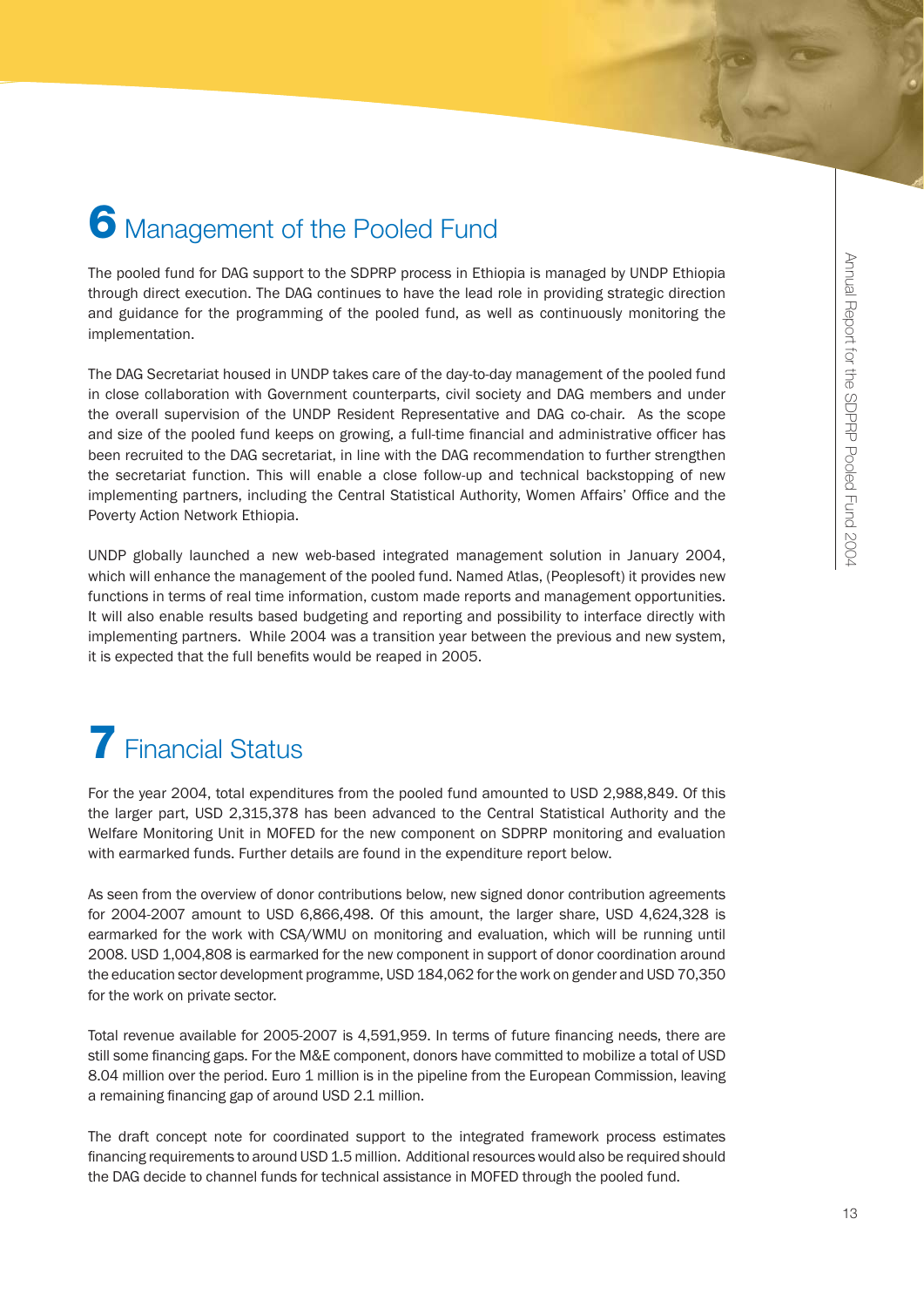## **6** Management of the Pooled Fund

The pooled fund for DAG support to the SDPRP process in Ethiopia is managed by UNDP Ethiopia through direct execution. The DAG continues to have the lead role in providing strategic direction and guidance for the programming of the pooled fund, as well as continuously monitoring the implementation.

The DAG Secretariat housed in UNDP takes care of the day-to-day management of the pooled fund in close collaboration with Government counterparts, civil society and DAG members and under the overall supervision of the UNDP Resident Representative and DAG co-chair. As the scope and size of the pooled fund keeps on growing, a full-time financial and administrative officer has been recruited to the DAG secretariat, in line with the DAG recommendation to further strengthen the secretariat function. This will enable a close follow-up and technical backstopping of new implementing partners, including the Central Statistical Authority, Women Affairs' Office and the Poverty Action Network Ethiopia.

UNDP globally launched a new web-based integrated management solution in January 2004, which will enhance the management of the pooled fund. Named Atlas, (Peoplesoft) it provides new functions in terms of real time information, custom made reports and management opportunities. It will also enable results based budgeting and reporting and possibility to interface directly with implementing partners. While 2004 was a transition year between the previous and new system, it is expected that the full benefits would be reaped in 2005.

# **7** Financial Status

For the year 2004, total expenditures from the pooled fund amounted to USD 2,988,849. Of this the larger part, USD 2,315,378 has been advanced to the Central Statistical Authority and the Welfare Monitoring Unit in MOFED for the new component on SDPRP monitoring and evaluation with earmarked funds. Further details are found in the expenditure report below.

As seen from the overview of donor contributions below, new signed donor contribution agreements for 2004-2007 amount to USD 6,866,498. Of this amount, the larger share, USD 4,624,328 is earmarked for the work with CSA/WMU on monitoring and evaluation, which will be running until 2008. USD 1,004,808 is earmarked for the new component in support of donor coordination around the education sector development programme, USD 184,062 for the work on gender and USD 70,350 for the work on private sector.

Total revenue available for 2005-2007 is 4,591,959. In terms of future financing needs, there are still some financing gaps. For the M&E component, donors have committed to mobilize a total of USD 8.04 million over the period. Euro 1 million is in the pipeline from the European Commission, leaving a remaining financing gap of around USD 2.1 million.

The draft concept note for coordinated support to the integrated framework process estimates financing requirements to around USD 1.5 million. Additional resources would also be required should the DAG decide to channel funds for technical assistance in MOFED through the pooled fund.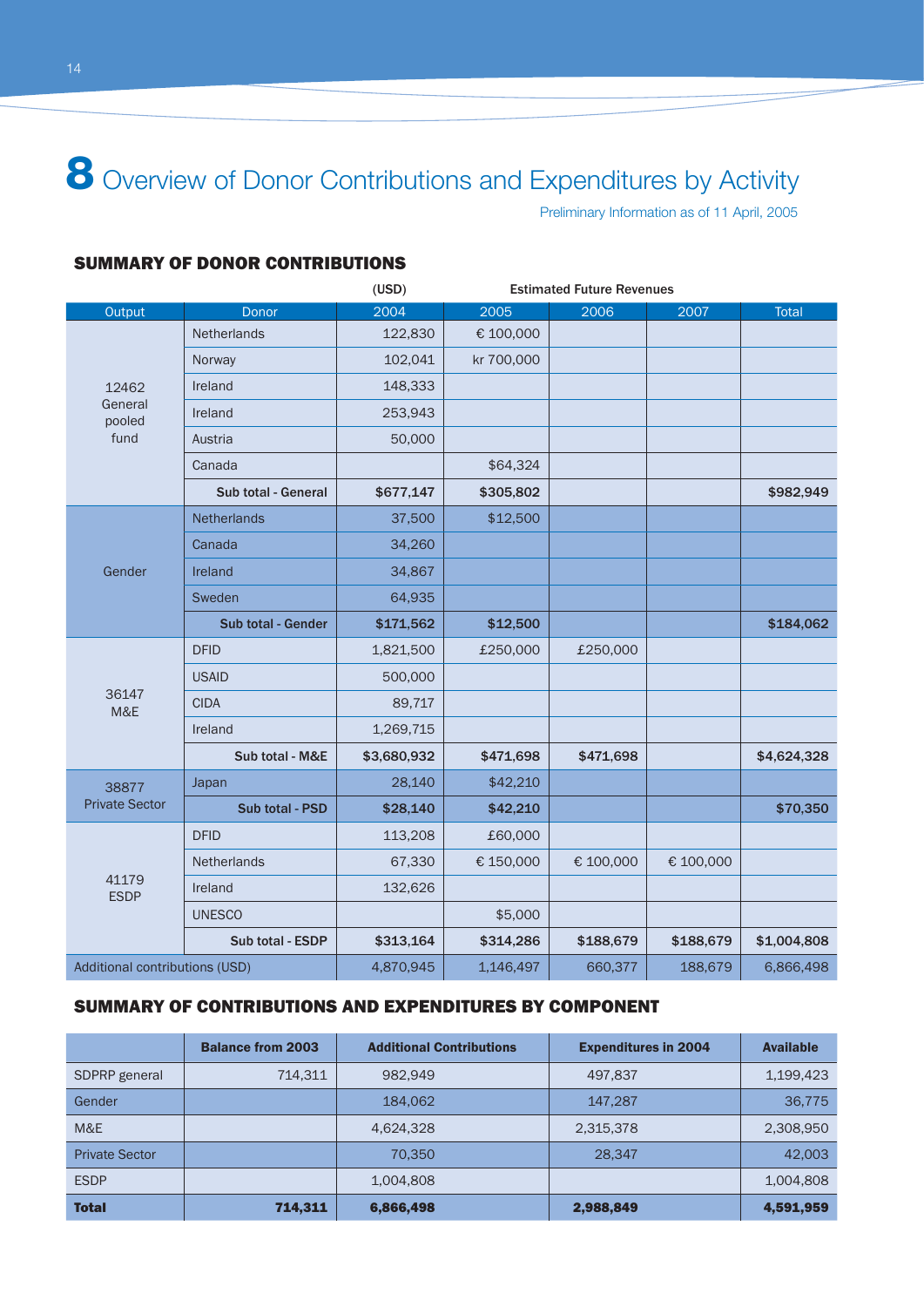8 Overview of Donor Contributions and Expenditures by Activity

Preliminary Information as of 11 April, 2005

#### SUMMARY OF DONOR CONTRIBUTIONS

|                                |                           | (USD)<br><b>Estimated Future Revenues</b> |            |           |           |              |
|--------------------------------|---------------------------|-------------------------------------------|------------|-----------|-----------|--------------|
| Output                         | Donor                     | 2004                                      | 2005       | 2006      | 2007      | <b>Total</b> |
|                                | Netherlands               | 122,830                                   | € 100,000  |           |           |              |
|                                | Norway                    | 102,041                                   | kr 700,000 |           |           |              |
| 12462                          | Ireland                   | 148,333                                   |            |           |           |              |
| General<br>pooled              | Ireland                   | 253,943                                   |            |           |           |              |
| fund                           | Austria                   | 50,000                                    |            |           |           |              |
|                                | Canada                    |                                           | \$64,324   |           |           |              |
|                                | Sub total - General       | \$677,147                                 | \$305,802  |           |           | \$982,949    |
|                                | Netherlands               | 37,500                                    | \$12,500   |           |           |              |
|                                | Canada                    | 34,260                                    |            |           |           |              |
| Gender                         | Ireland                   | 34,867                                    |            |           |           |              |
|                                | Sweden                    | 64,935                                    |            |           |           |              |
|                                | <b>Sub total - Gender</b> | \$171,562                                 | \$12,500   |           |           | \$184,062    |
|                                | <b>DFID</b>               | 1,821,500                                 | £250,000   | £250,000  |           |              |
|                                | <b>USAID</b>              | 500,000                                   |            |           |           |              |
| 36147<br>M&E                   | <b>CIDA</b>               | 89,717                                    |            |           |           |              |
|                                | Ireland                   | 1,269,715                                 |            |           |           |              |
|                                | Sub total - M&E           | \$3,680,932                               | \$471,698  | \$471,698 |           | \$4,624,328  |
| 38877                          | Japan                     | 28,140                                    | \$42,210   |           |           |              |
| <b>Private Sector</b>          | Sub total - PSD           | \$28,140                                  | \$42,210   |           |           | \$70,350     |
|                                | <b>DFID</b>               | 113,208                                   | £60,000    |           |           |              |
|                                | <b>Netherlands</b>        | 67,330                                    | € 150,000  | € 100,000 | € 100,000 |              |
| 41179<br><b>ESDP</b>           | Ireland                   | 132,626                                   |            |           |           |              |
|                                | <b>UNESCO</b>             |                                           | \$5,000    |           |           |              |
|                                | Sub total - ESDP          | \$313,164                                 | \$314,286  | \$188,679 | \$188,679 | \$1,004,808  |
| Additional contributions (USD) |                           | 4,870,945                                 | 1,146,497  | 660,377   | 188,679   | 6,866,498    |

#### SUMMARY OF CONTRIBUTIONS AND EXPENDITURES BY COMPONENT

|                       | <b>Balance from 2003</b> | <b>Additional Contributions</b> | <b>Expenditures in 2004</b> | <b>Available</b> |
|-----------------------|--------------------------|---------------------------------|-----------------------------|------------------|
| SDPRP general         | 714.311                  | 982.949                         | 497,837                     | 1,199,423        |
| Gender                |                          | 184.062                         | 147.287                     | 36,775           |
| M&E                   |                          | 4,624,328                       | 2,315,378                   | 2,308,950        |
| <b>Private Sector</b> |                          | 70,350                          | 28.347                      | 42,003           |
| <b>ESDP</b>           |                          | 1,004,808                       |                             | 1,004,808        |
| <b>Total</b>          | 714,311                  | 6,866,498                       | 2,988,849                   | 4,591,959        |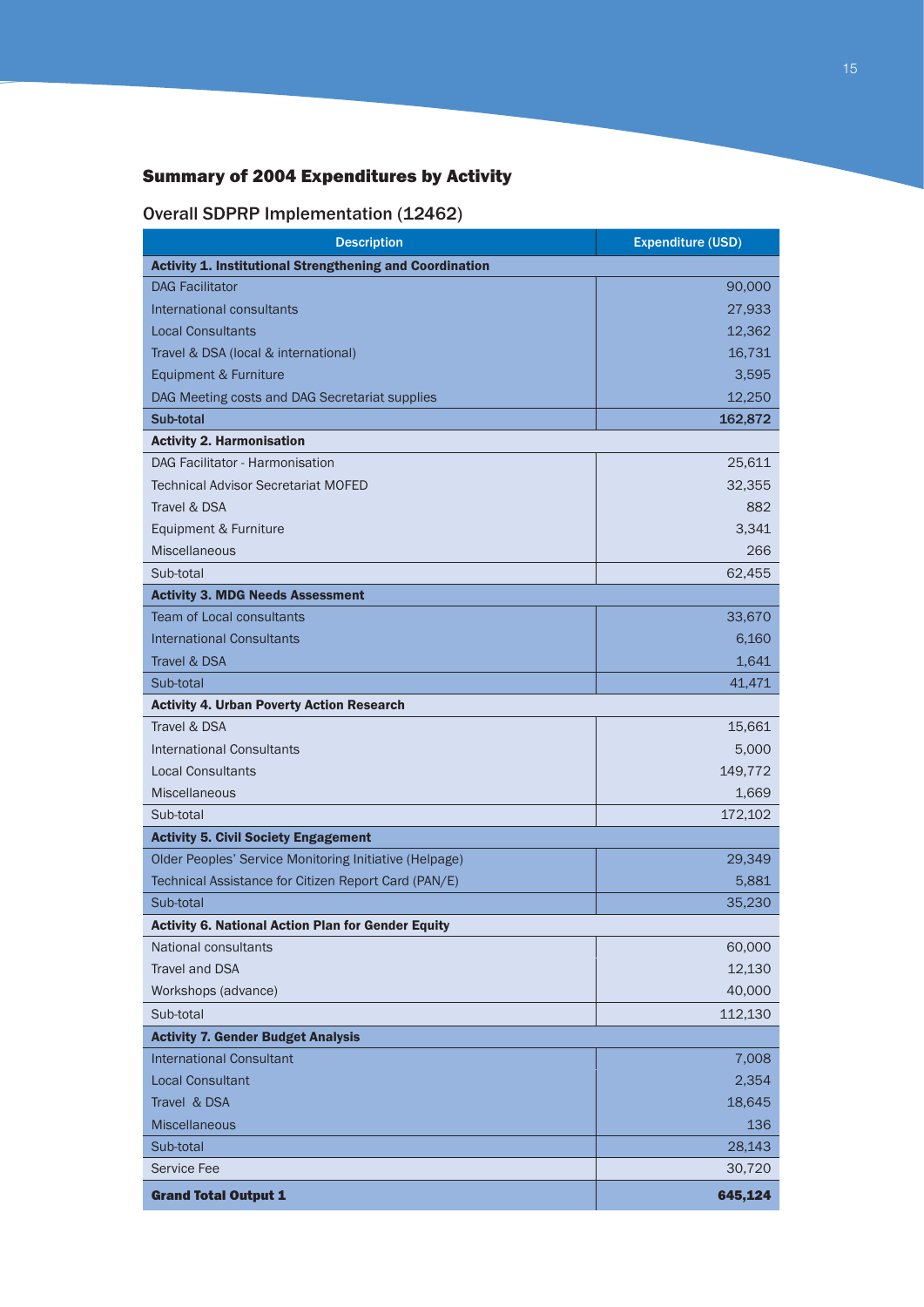## Summary of 2004 Expenditures by Activity

### Overall SDPRP Implementation (12462)

| <b>Description</b>                                              | <b>Expenditure (USD)</b> |
|-----------------------------------------------------------------|--------------------------|
| <b>Activity 1. Institutional Strengthening and Coordination</b> |                          |
| <b>DAG Facilitator</b>                                          | 90,000                   |
| International consultants                                       | 27,933                   |
| <b>Local Consultants</b>                                        | 12,362                   |
| Travel & DSA (local & international)                            | 16,731                   |
| Equipment & Furniture                                           | 3,595                    |
| DAG Meeting costs and DAG Secretariat supplies                  | 12,250                   |
| Sub-total                                                       | 162,872                  |
| <b>Activity 2. Harmonisation</b>                                |                          |
| DAG Facilitator - Harmonisation                                 | 25,611                   |
| <b>Technical Advisor Secretariat MOFED</b>                      | 32,355                   |
| Travel & DSA                                                    | 882                      |
| Equipment & Furniture                                           | 3,341                    |
| <b>Miscellaneous</b>                                            | 266                      |
| Sub-total                                                       | 62,455                   |
| <b>Activity 3. MDG Needs Assessment</b>                         |                          |
| <b>Team of Local consultants</b>                                | 33,670                   |
| <b>International Consultants</b>                                | 6,160                    |
| Travel & DSA                                                    | 1,641                    |
| Sub-total                                                       | 41,471                   |
| <b>Activity 4. Urban Poverty Action Research</b>                |                          |
| Travel & DSA                                                    | 15,661                   |
| International Consultants                                       | 5,000                    |
| <b>Local Consultants</b>                                        | 149,772                  |
| <b>Miscellaneous</b>                                            | 1,669                    |
| Sub-total                                                       | 172,102                  |
| <b>Activity 5. Civil Society Engagement</b>                     |                          |
| Older Peoples' Service Monitoring Initiative (Helpage)          | 29,349                   |
| Technical Assistance for Citizen Report Card (PAN/E)            | 5,881                    |
| Sub-total                                                       | 35,230                   |
| <b>Activity 6. National Action Plan for Gender Equity</b>       |                          |
| National consultants                                            | 60,000                   |
| <b>Travel and DSA</b>                                           | 12,130                   |
| Workshops (advance)                                             | 40,000                   |
| Sub-total                                                       | 112,130                  |
| <b>Activity 7. Gender Budget Analysis</b>                       |                          |
| <b>International Consultant</b>                                 | 7,008                    |
| <b>Local Consultant</b>                                         | 2,354                    |
| Travel & DSA                                                    | 18,645                   |
| <b>Miscellaneous</b>                                            | 136                      |
| Sub-total                                                       | 28,143                   |
| Service Fee                                                     | 30,720                   |
| <b>Grand Total Output 1</b>                                     | 645,124                  |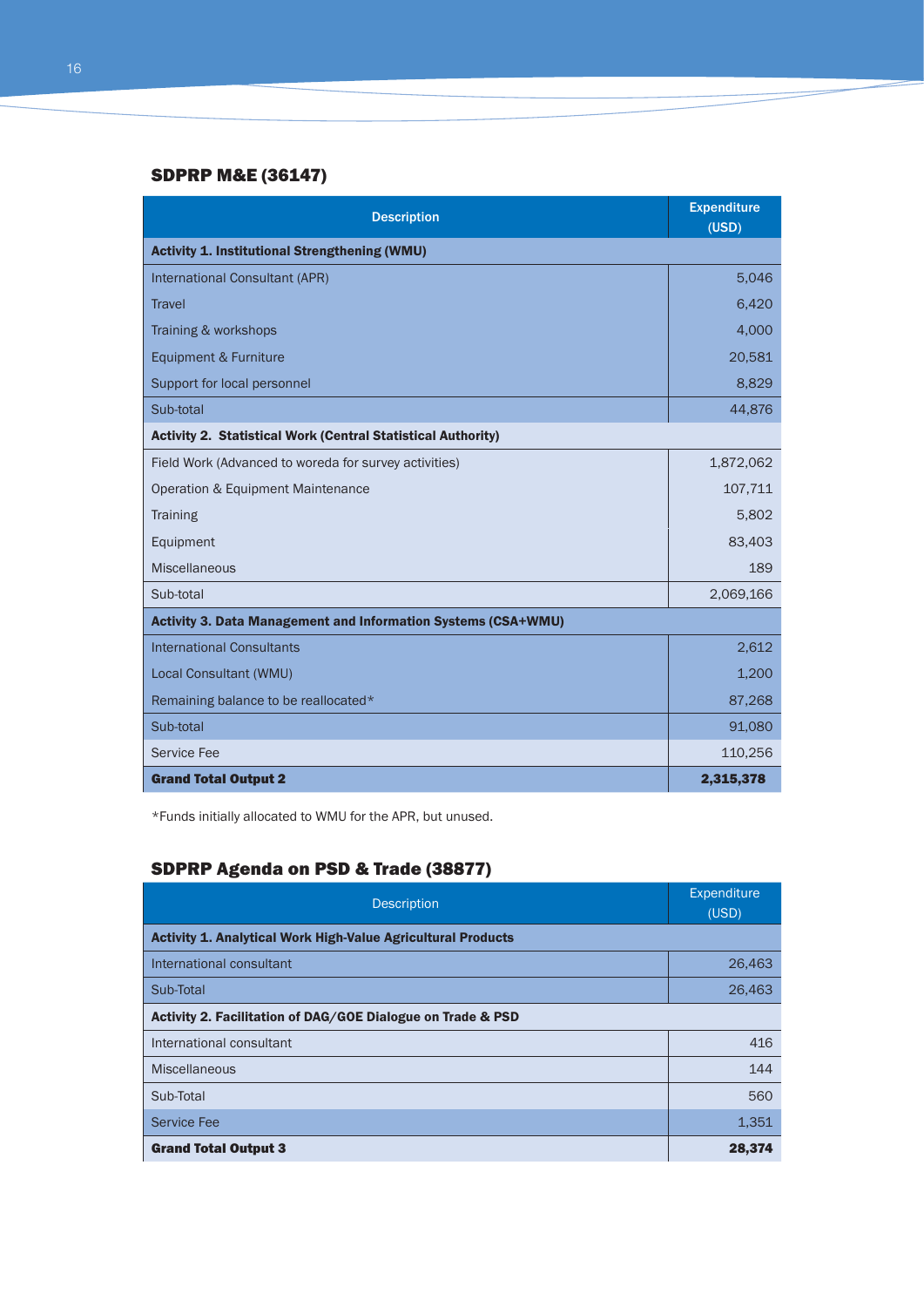#### SDPRP M&E (36147)

| <b>Description</b>                                                   | <b>Expenditure</b><br>(USD) |  |  |  |
|----------------------------------------------------------------------|-----------------------------|--|--|--|
| <b>Activity 1. Institutional Strengthening (WMU)</b>                 |                             |  |  |  |
| <b>International Consultant (APR)</b>                                | 5,046                       |  |  |  |
| <b>Travel</b>                                                        | 6,420                       |  |  |  |
| Training & workshops                                                 | 4,000                       |  |  |  |
| Equipment & Furniture                                                | 20,581                      |  |  |  |
| Support for local personnel                                          | 8,829                       |  |  |  |
| Sub-total                                                            | 44,876                      |  |  |  |
| <b>Activity 2. Statistical Work (Central Statistical Authority)</b>  |                             |  |  |  |
| Field Work (Advanced to woreda for survey activities)                | 1,872,062                   |  |  |  |
| Operation & Equipment Maintenance                                    | 107,711                     |  |  |  |
| <b>Training</b>                                                      | 5,802                       |  |  |  |
| Equipment                                                            | 83,403                      |  |  |  |
| <b>Miscellaneous</b>                                                 | 189                         |  |  |  |
| Sub-total                                                            | 2,069,166                   |  |  |  |
| <b>Activity 3. Data Management and Information Systems (CSA+WMU)</b> |                             |  |  |  |
| <b>International Consultants</b>                                     | 2,612                       |  |  |  |
| Local Consultant (WMU)                                               | 1,200                       |  |  |  |
| Remaining balance to be reallocated*                                 | 87,268                      |  |  |  |
| Sub-total                                                            | 91,080                      |  |  |  |
| <b>Service Fee</b>                                                   | 110,256                     |  |  |  |
| <b>Grand Total Output 2</b>                                          | 2,315,378                   |  |  |  |

\*Funds initially allocated to WMU for the APR, but unused.

## SDPRP Agenda on PSD & Trade (38877)

| <b>Description</b>                                                  | Expenditure<br>(USD) |  |  |  |
|---------------------------------------------------------------------|----------------------|--|--|--|
| <b>Activity 1. Analytical Work High-Value Agricultural Products</b> |                      |  |  |  |
| International consultant                                            | 26,463               |  |  |  |
| Sub-Total                                                           | 26,463               |  |  |  |
| Activity 2. Facilitation of DAG/GOE Dialogue on Trade & PSD         |                      |  |  |  |
| International consultant                                            | 416                  |  |  |  |
| <b>Miscellaneous</b>                                                | 144                  |  |  |  |
| Sub-Total                                                           | 560                  |  |  |  |
| <b>Service Fee</b>                                                  | 1,351                |  |  |  |
| <b>Grand Total Output 3</b>                                         | 28,374               |  |  |  |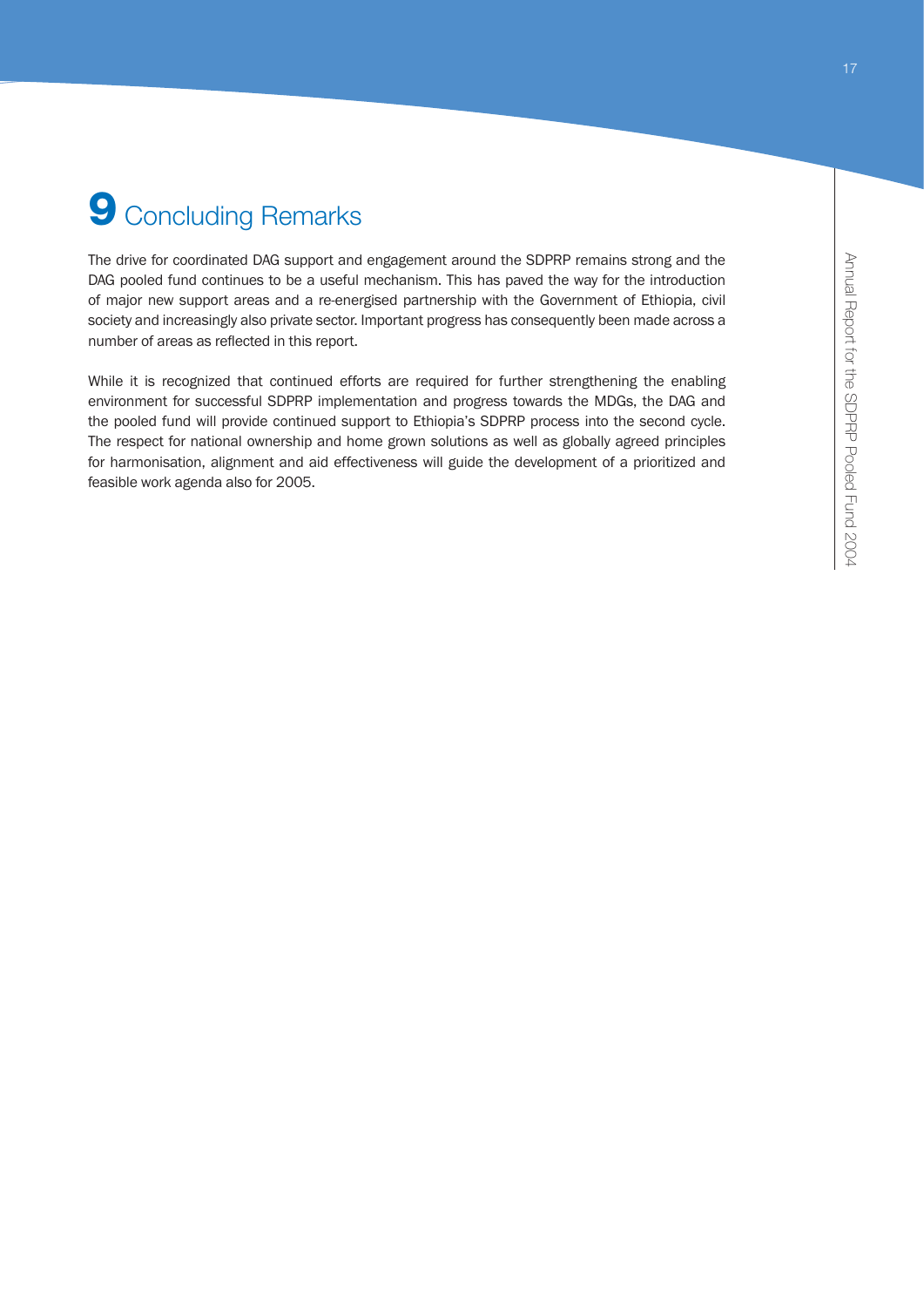# **9** Concluding Remarks

The drive for coordinated DAG support and engagement around the SDPRP remains strong and the DAG pooled fund continues to be a useful mechanism. This has paved the way for the introduction of major new support areas and a re-energised partnership with the Government of Ethiopia, civil society and increasingly also private sector. Important progress has consequently been made across a number of areas as reflected in this report.

While it is recognized that continued efforts are required for further strengthening the enabling environment for successful SDPRP implementation and progress towards the MDGs, the DAG and the pooled fund will provide continued support to Ethiopia's SDPRP process into the second cycle. The respect for national ownership and home grown solutions as well as globally agreed principles for harmonisation, alignment and aid effectiveness will guide the development of a prioritized and feasible work agenda also for 2005.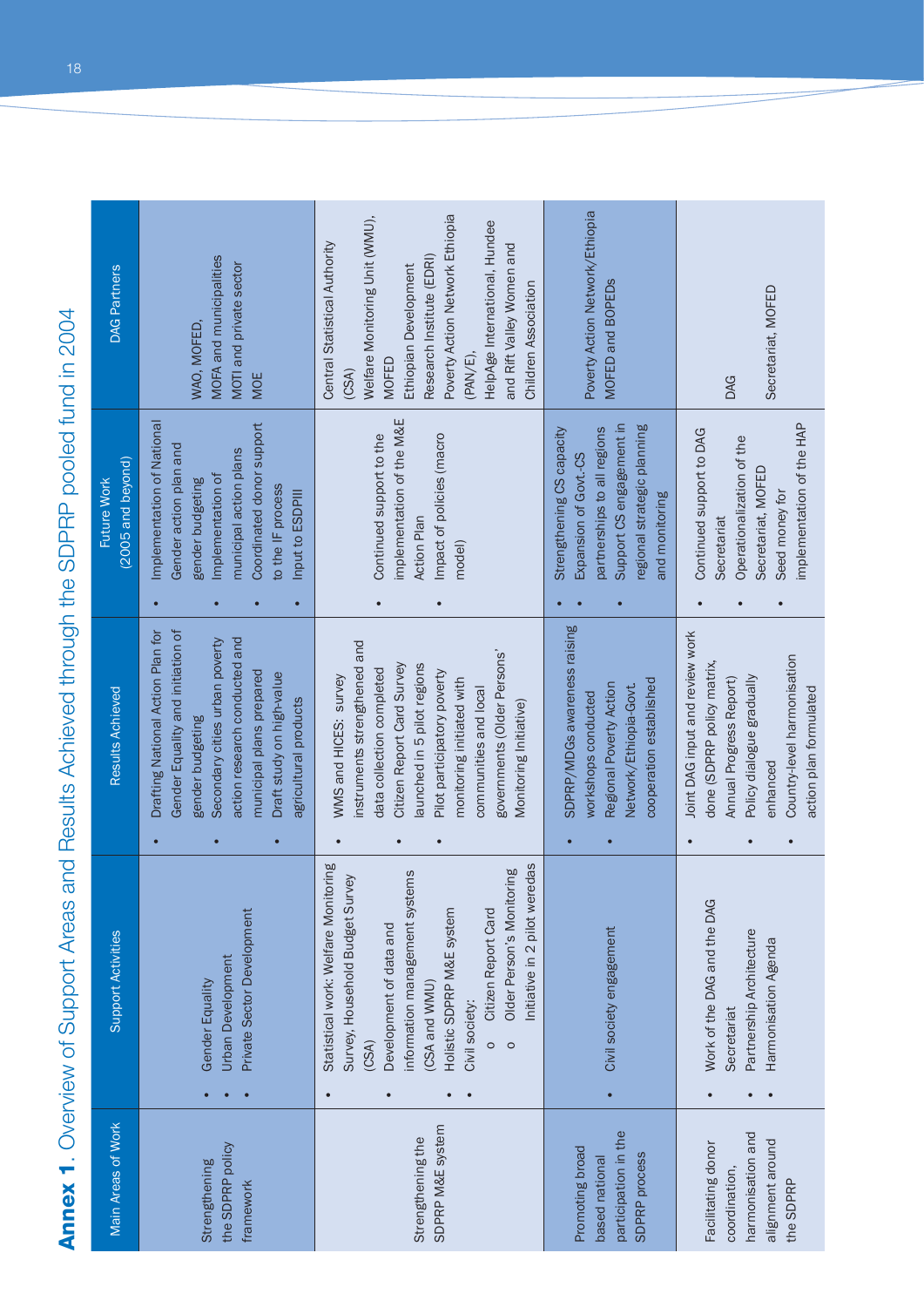Annex 1. Overview of Support Areas and Results Achieved through the SDPRP pooled fund in 2004 **Annex 1**. Overview of Support Areas and Results Achieved through the SDPRP pooled fund in 2004

| <b>DAG Partners</b>              | MOFA and municipalities<br>MOTI and private sector<br>WAO, MOFED,<br>MOE                                                                                                                                                                        | Poverty Action Network Ethiopia<br>Welfare Monitoring Unit (WMU),<br>HelpAge International, Hundee<br>Central Statistical Authority<br>and Rift Valley Women and<br>Research Institute (EDRI)<br>Ethiopian Development<br>Children Association<br>(PAN/E),<br><b>MOFED</b><br>(CSA)                                      | Poverty Action Network/Ethiopia<br>MOFED and BOPEDS                                                                                                            | Secretariat, MOFED<br><b>DAG</b>                                                                                                                                                                                                  |
|----------------------------------|-------------------------------------------------------------------------------------------------------------------------------------------------------------------------------------------------------------------------------------------------|--------------------------------------------------------------------------------------------------------------------------------------------------------------------------------------------------------------------------------------------------------------------------------------------------------------------------|----------------------------------------------------------------------------------------------------------------------------------------------------------------|-----------------------------------------------------------------------------------------------------------------------------------------------------------------------------------------------------------------------------------|
| (2005 and beyond)<br>Future Work | Implementation of National<br>Coordinated donor support<br>Gender action plan and<br>municipal action plans<br>Implementation of<br>gender budgeting<br>to the IF process<br>Input to ESDPIII                                                   | implementation of the M&E<br>Continued support to the<br>Impact of policies (macro<br><b>Action Plan</b><br>model)                                                                                                                                                                                                       | Support CS engagement in<br>regional strategic planning<br>Strengthening CS capacity<br>partnerships to all regions<br>Expansion of Govt.-CS<br>and monitoring | implementation of the HAP<br>Continued support to DAG<br>Operationalization of the<br>Secretariat, MOFED<br>Seed money for<br>Secretariat                                                                                         |
| Results Achieved                 | Drafting National Action Plan for<br>Gender Equality and initiation of<br>action research conducted and<br>Secondary cities urban poverty<br>municipal plans prepared<br>Draft study on high-value<br>agricultural products<br>gender budgeting | instruments strengthened and<br>governments (Older Persons'<br>Citizen Report Card Survey<br>aunched in 5 pilot regions<br>data collection completed<br>Pilot participatory poverty<br>WMS and HICES: survey<br>monitoring initiated with<br>communities and local<br>Monitoring Initiative)<br>$\bullet$<br>$\bullet$   | SDPRP/MDGs awareness raising<br>cooperation established<br>Regional Poverty Action<br>Network/Ethiopia-Govt.<br>workshops conducted                            | Joint DAG input and review work<br>Country-level harmonisation<br>done (SDPRP policy matrix,<br>Policy dialogue gradually<br>Annual Progress Report)<br>action plan formulated<br>enhanced<br>$\bullet$<br>$\bullet$<br>$\bullet$ |
| Support Activities               | Private Sector Development<br><b>Urban Development</b><br>Gender Equality                                                                                                                                                                       | Statistical work: Welfare Monitoring<br>Initiative in 2 pilot weredas<br>Older Person's Monitoring<br>information management systems<br>Survey, Household Budget Survey<br>Holistic SDPRP M&E system<br>Citizen Report Card<br>Development of data and<br>(CSA and WMU)<br>Civil society:<br>(CSA)<br>$\circ$<br>$\circ$ | Civil society engagement<br>$\bullet$                                                                                                                          | Work of the DAG and the DAG<br>Partnership Architecture<br>Harmonisation Agenda<br>Secretariat                                                                                                                                    |
| Main Areas of Work               | the SDPRP policy<br>Strengthening<br>framework                                                                                                                                                                                                  | SDPRP M&E system<br>Strengthening the                                                                                                                                                                                                                                                                                    | participation in the<br>Promoting broad<br>SDPRP process<br>based national                                                                                     | harmonisation and<br>alignment around<br>Facilitating donor<br>coordination,<br>the SDPRP                                                                                                                                         |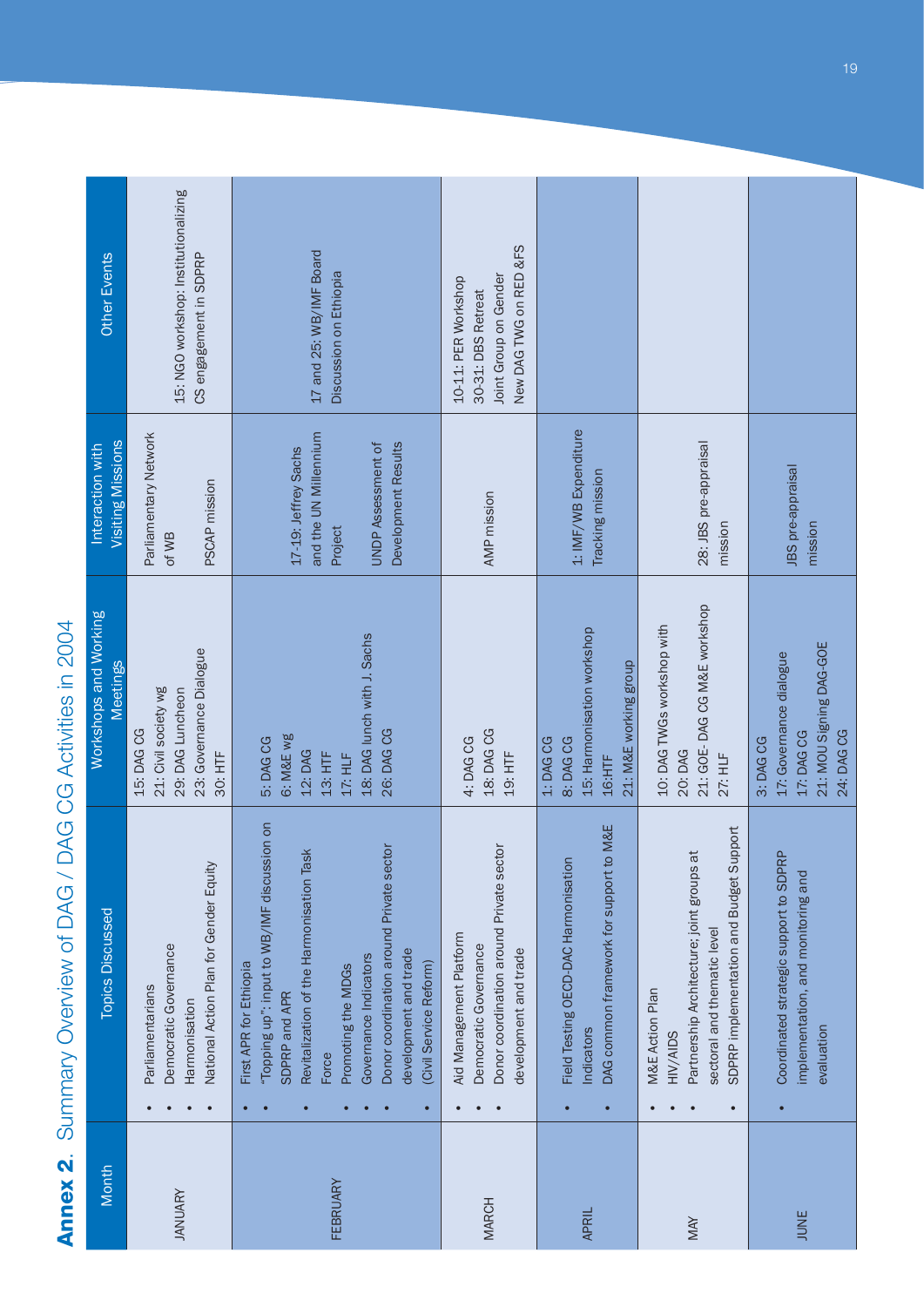# Annex 2. Summary Overview of DAG / DAG CG Activities in 2004 **Annex 2**. Summary Overview of DAG / DAG CG Activities in 2004

| Month          | <b>Topics Discussed</b>                                                                                                                                                                                                                                                                   | Workshops and Working<br><b>Meetings</b>                                                             | Visiting Missions<br>Interaction with                                                                        | Other Events                                                                                 |
|----------------|-------------------------------------------------------------------------------------------------------------------------------------------------------------------------------------------------------------------------------------------------------------------------------------------|------------------------------------------------------------------------------------------------------|--------------------------------------------------------------------------------------------------------------|----------------------------------------------------------------------------------------------|
| <b>JANUARY</b> | National Action Plan for Gender Equity<br>Democratic Governance<br>Parliamentarians<br>Harmonisation                                                                                                                                                                                      | 23: Governance Dialogue<br>21: Civil society wg<br>29: DAG Luncheon<br>15: DAG CG<br>30: HTF         | Parliamentary Network<br>PSCAP mission<br>of WB                                                              | 15: NGO workshop: Institutionalizing<br>CS engagement in SDPRP                               |
| FEBRUARY       | "Topping up": input to WB/IMF discussion on<br>Donor coordination around Private sector<br>Revitalization of the Harmonisation Task<br>development and trade<br>Governance Indicators<br>(Civil Service Reform)<br>First APR for Ethiopia<br>Promoting the MDGs<br>SDPRP and APR<br>Force | 18: DAG lunch with J. Sachs<br>26: DAG CG<br>6: M&E wg<br>5: DAG CG<br>12: DAG<br>13: HTF<br>17: HLF | and the UN Millennium<br>Development Results<br><b>UNDP Assessment of</b><br>17-19: Jeffrey Sachs<br>Project | 17 and 25: WB/IMF Board<br>Discussion on Ethiopia                                            |
| <b>MARCH</b>   | Donor coordination around Private sector<br>Aid Management Platform<br>Democratic Governance<br>development and trade                                                                                                                                                                     | 18: DAG CG<br>4: DAG CG<br>19: HTF                                                                   | AMP mission                                                                                                  | New DAG TWG on RED &FS<br>Joint Group on Gender<br>10-11: PER Workshop<br>30-31: DBS Retreat |
| <b>APRIL</b>   | to M&E<br>Field Testing OECD-DAC Harmonisation<br>DAG common framework for support<br>Indicators                                                                                                                                                                                          | 15: Harmonisation workshop<br>21: M&E working group<br>8: DAG CG<br>1: DAG CG<br>16:HTF              | 1: IMF/WB Expenditure<br>Tracking mission                                                                    |                                                                                              |
| MAY            | SDPRP implementation and Budget Support<br>Partnership Architecture; joint groups at<br>sectoral and thematic level<br>M&E Action Plan<br>HIV/AIDS                                                                                                                                        | 21: GOE-DAG CG M&E workshop<br>10: DAG TWGs workshop with<br>20: DAG<br>27: HLF                      | 28: JBS pre-appraisal<br>mission                                                                             |                                                                                              |
| JUNE           | Coordinated strategic support to SDPRP<br>implementation, and monitoring and<br>evaluation                                                                                                                                                                                                | 21: MOU Signing DAG-GOE<br>17: Governance dialogue<br>24: DAG CG<br>17: DAG CG<br>3: DAG CG          | JBS pre-appraisal<br>mission                                                                                 |                                                                                              |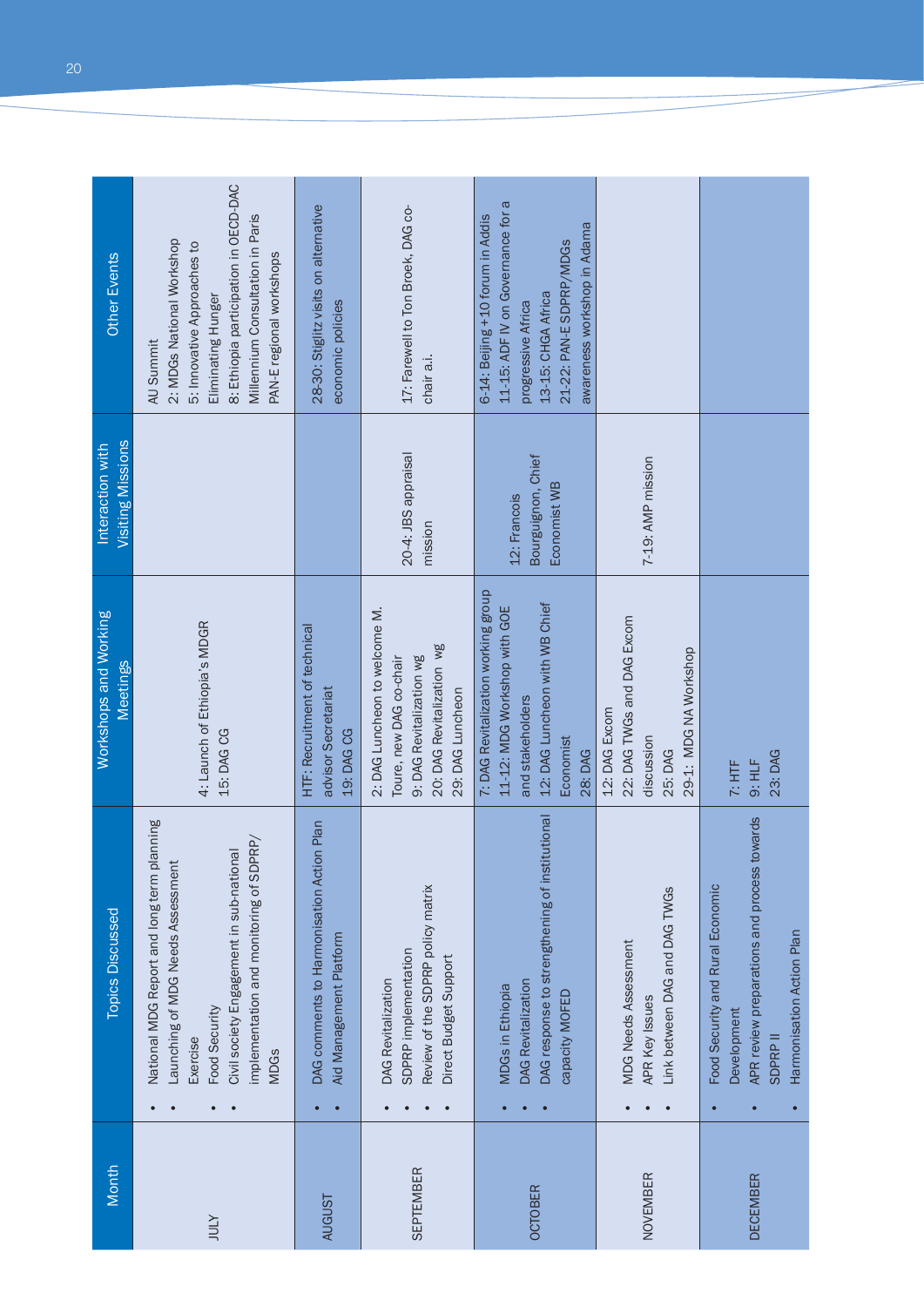| Other Events<br>Visiting Missions<br>Interaction with | 8: Ethiopia participation in OECD-DAC<br>Millennium Consultation in Paris<br>2: MDGs National Workshop<br>5: Innovative Approaches to<br>PAN-E regional workshops<br>Eliminating Hunger<br>AU Summit               | 28-30: Stiglitz visits on alternative<br>economic policies           | 17: Farewell to Ton Broek, DAG co-<br>chair a.i.                                                                                      | 11-15: ADF IV on Governance for a<br>6-14: Beijing +10 forum in Addis<br>awareness workshop in Adama<br>21-22: PAN-E SDPRP/MDGs<br>13-15: CHGA Africa<br>progressive Africa |                                                                                               |                                                                                                                                               |
|-------------------------------------------------------|--------------------------------------------------------------------------------------------------------------------------------------------------------------------------------------------------------------------|----------------------------------------------------------------------|---------------------------------------------------------------------------------------------------------------------------------------|-----------------------------------------------------------------------------------------------------------------------------------------------------------------------------|-----------------------------------------------------------------------------------------------|-----------------------------------------------------------------------------------------------------------------------------------------------|
|                                                       |                                                                                                                                                                                                                    |                                                                      | 20-4: JBS appraisal<br>mission                                                                                                        | Bourguignon, Chief<br>Economist WB<br>12: Francois                                                                                                                          | 7-19: AMP mission                                                                             |                                                                                                                                               |
| Workshops and Working<br>Meetings                     | 4: Launch of Ethiopia's MDGR<br>15: DAG CG                                                                                                                                                                         | HTF: Recruitment of technical<br>advisor Secretariat<br>19: DAG CG   | 2: DAG Luncheon to welcome M.<br>20: DAG Revitalization wg<br>Toure, new DAG co-chair<br>9: DAG Revitalization wg<br>29: DAG Luncheon | 7: DAG Revitalization working group<br>12: DAG Luncheon with WB Chief<br>11-12: MDG Workshop with GOE<br>and stakeholders<br>Economist<br>28: DAG                           | 22: DAG TWGs and DAG Excom<br>29-1: MDG NA Workshop<br>12: DAG Excom<br>discussion<br>25: DAG | 23: DAG<br>9: HLF<br>$7:$ HTF                                                                                                                 |
| <b>Topics Discussed</b>                               | National MDG Report and long term planning<br>implementation and monitoring of SDPRP/<br>Civil society Engagement in sub-national<br>Launching of MDG Needs Assessment<br>Food Security<br>Exercise<br><b>MDGs</b> | DAG comments to Harmonisation Action Plan<br>Aid Management Platform | Review of the SDPRP policy matrix<br>SDPRP implementation<br>Direct Budget Support<br>DAG Revitalization                              | DAG response to strengthening of institutional<br><b>DAG Revitalization</b><br><b>MDGs in Ethiopia</b><br>capacity MOFED                                                    | Link between DAG and DAG TWGS<br><b>MDG Needs Assessment</b><br>APR Key Issues                | APR review preparations and process towards<br>Food Security and Rural Economic<br>Harmonisation Action Plan<br>Development<br><b>SDPRPII</b> |
| Month                                                 | <b>ATOL</b>                                                                                                                                                                                                        | <b>AUGUST</b>                                                        | <b>SEPTEMBER</b>                                                                                                                      | <b>OCTOBER</b>                                                                                                                                                              | NOVEMBER                                                                                      | <b>DECEMBER</b>                                                                                                                               |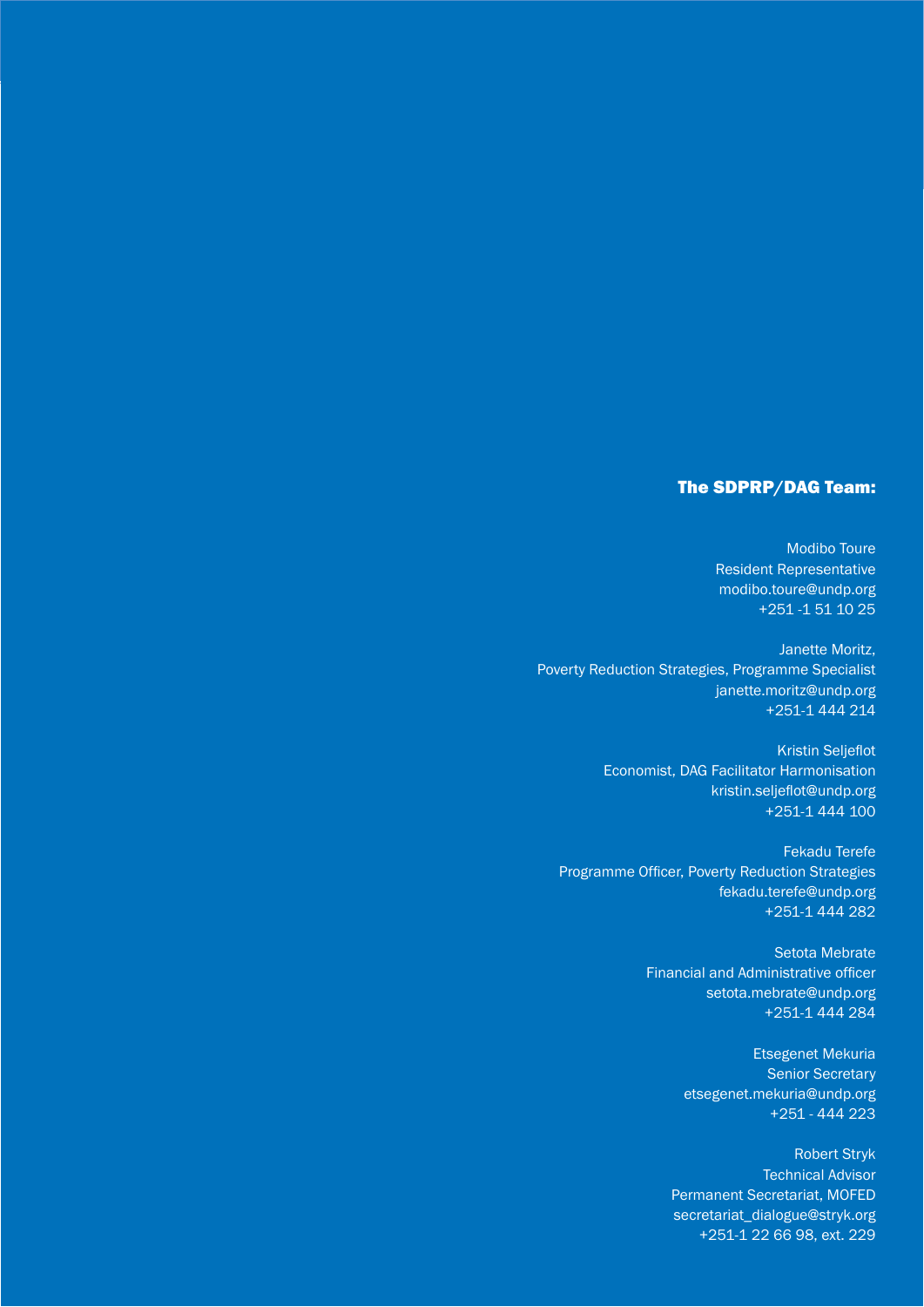#### The SDPRP/DAG Team:

Modibo Toure Resident Representative modibo.toure@undp.org +251 -1 51 10 25

Janette Moritz, Poverty Reduction Strategies, Programme Specialist janette.moritz@undp.org +251-1 444 214

> **Kristin Seljeflot** Economist, DAG Facilitator Harmonisation kristin.seljeflot@undp.org +251-1 444 100

Fekadu Terefe Programme Officer, Poverty Reduction Strategies fekadu.terefe@undp.org +251-1 444 282

> Setota Mebrate Financial and Administrative officer setota.mebrate@undp.org +251-1 444 284

> > Etsegenet Mekuria Senior Secretary etsegenet.mekuria@undp.org +251 - 444 223

Robert Stryk Technical Advisor Permanent Secretariat, MOFED secretariat\_dialogue@stryk.org +251-1 22 66 98, ext. 229